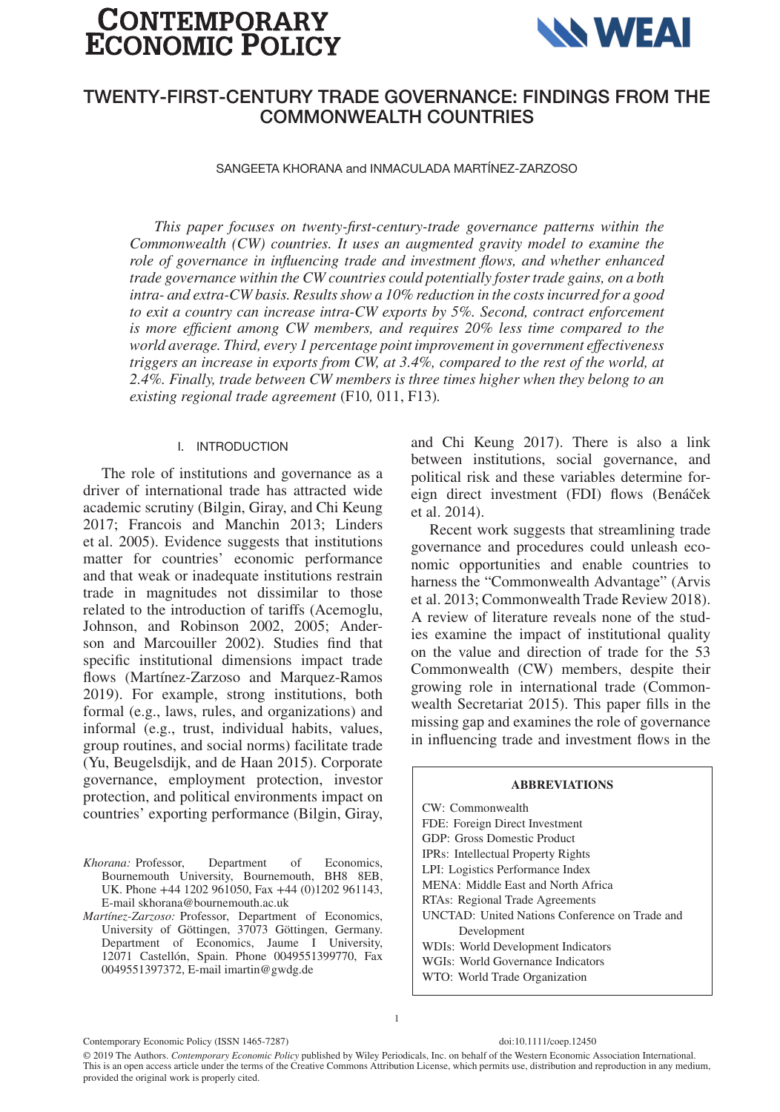# **CONTEMPORARY<br>ECONOMIC POLICY**



# **TWENTY-FIRST-CENTURY TRADE GOVERNANCE: FINDINGS FROM THE COMMONWEALTH COUNTRIES**

SANGEETA KHORANA and INMACULADA MARTÍNEZ-ZARZOSO

*This paper focuses on twenty-first-century-trade governance patterns within the Commonwealth (CW) countries. It uses an augmented gravity model to examine the role of governance in influencing trade and investment flows, and whether enhanced trade governance within the CW countries could potentially foster trade gains, on a both intra- and extra-CW basis. Results show a 10% reduction in the costs incurred for a good to exit a country can increase intra-CW exports by 5%. Second, contract enforcement is more efficient among CW members, and requires 20% less time compared to the world average. Third, every 1 percentage point improvement in government effectiveness triggers an increase in exports from CW, at 3.4%, compared to the rest of the world, at 2.4%. Finally, trade between CW members is three times higher when they belong to an existing regional trade agreement* (F10*,* 011, F13)*.*

## I. INTRODUCTION

The role of institutions and governance as a driver of international trade has attracted wide academic scrutiny (Bilgin, Giray, and Chi Keung 2017; Francois and Manchin 2013; Linders et al. 2005). Evidence suggests that institutions matter for countries' economic performance and that weak or inadequate institutions restrain trade in magnitudes not dissimilar to those related to the introduction of tariffs (Acemoglu, Johnson, and Robinson 2002, 2005; Anderson and Marcouiller 2002). Studies find that specific institutional dimensions impact trade flows (Martínez-Zarzoso and Marquez-Ramos 2019). For example, strong institutions, both formal (e.g., laws, rules, and organizations) and informal (e.g., trust, individual habits, values, group routines, and social norms) facilitate trade (Yu, Beugelsdijk, and de Haan 2015). Corporate governance, employment protection, investor protection, and political environments impact on countries' exporting performance (Bilgin, Giray,

*Khorana:* Professor, Department of Economics, Bournemouth University, Bournemouth, BH8 8EB, UK. Phone +44 1202 961050, Fax +44 (0)1202 961143, E-mail skhorana@bournemouth.ac.uk

*Martínez-Zarzoso:* Professor, Department of Economics, University of Göttingen, 37073 Göttingen, Germany. Department of Economics, Jaume I University, 12071 Castellón, Spain. Phone 0049551399770, Fax 0049551397372, E-mail imartin@gwdg.de

and Chi Keung 2017). There is also a link between institutions, social governance, and political risk and these variables determine foreign direct investment (FDI) flows (Benáček et al. 2014).

Recent work suggests that streamlining trade governance and procedures could unleash economic opportunities and enable countries to harness the "Commonwealth Advantage" (Arvis et al. 2013; Commonwealth Trade Review 2018). A review of literature reveals none of the studies examine the impact of institutional quality on the value and direction of trade for the 53 Commonwealth (CW) members, despite their growing role in international trade (Commonwealth Secretariat 2015). This paper fills in the missing gap and examines the role of governance in influencing trade and investment flows in the

#### **ABBREVIATIONS**

| CW: Commonwealth                               |
|------------------------------------------------|
| FDE: Foreign Direct Investment                 |
| GDP: Gross Domestic Product                    |
| <b>IPRs:</b> Intellectual Property Rights      |
| LPI: Logistics Performance Index               |
| MENA: Middle East and North Africa             |
| RTAs: Regional Trade Agreements                |
| UNCTAD: United Nations Conference on Trade and |
| Development                                    |
| WDIs: World Development Indicators             |
| WGIs: World Governance Indicators              |
| WTO: World Trade Organization                  |
|                                                |

Contemporary Economic Policy (ISSN 1465-7287) doi:10.1111/coep.12450

© 2019 The Authors. *Contemporary Economic Policy* published by Wiley Periodicals, Inc. on behalf of the Western Economic Association International. This is an open access article under the terms of the Creative Commons Attribution License, which permits use, distribution and reproduction in any medium, provided the original work is properly cited.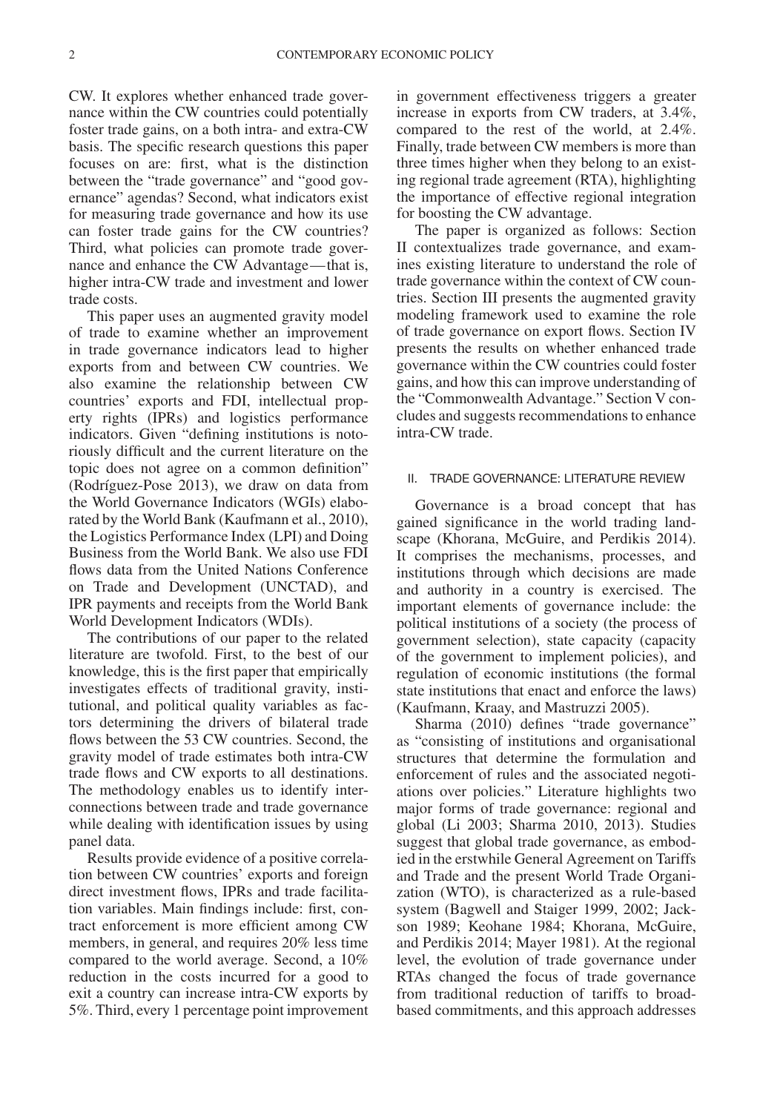CW. It explores whether enhanced trade governance within the CW countries could potentially foster trade gains, on a both intra- and extra-CW basis. The specific research questions this paper focuses on are: first, what is the distinction between the "trade governance" and "good governance" agendas? Second, what indicators exist for measuring trade governance and how its use can foster trade gains for the CW countries? Third, what policies can promote trade governance and enhance the CW Advantage—that is, higher intra-CW trade and investment and lower trade costs.

This paper uses an augmented gravity model of trade to examine whether an improvement in trade governance indicators lead to higher exports from and between CW countries. We also examine the relationship between CW countries' exports and FDI, intellectual property rights (IPRs) and logistics performance indicators. Given "defining institutions is notoriously difficult and the current literature on the topic does not agree on a common definition" (Rodríguez-Pose 2013), we draw on data from the World Governance Indicators (WGIs) elaborated by the World Bank (Kaufmann et al., 2010), the Logistics Performance Index (LPI) and Doing Business from the World Bank. We also use FDI flows data from the United Nations Conference on Trade and Development (UNCTAD), and IPR payments and receipts from the World Bank World Development Indicators (WDIs).

The contributions of our paper to the related literature are twofold. First, to the best of our knowledge, this is the first paper that empirically investigates effects of traditional gravity, institutional, and political quality variables as factors determining the drivers of bilateral trade flows between the 53 CW countries. Second, the gravity model of trade estimates both intra-CW trade flows and CW exports to all destinations. The methodology enables us to identify interconnections between trade and trade governance while dealing with identification issues by using panel data.

Results provide evidence of a positive correlation between CW countries' exports and foreign direct investment flows, IPRs and trade facilitation variables. Main findings include: first, contract enforcement is more efficient among CW members, in general, and requires 20% less time compared to the world average. Second, a 10% reduction in the costs incurred for a good to exit a country can increase intra-CW exports by 5%. Third, every 1 percentage point improvement in government effectiveness triggers a greater increase in exports from CW traders, at 3.4%, compared to the rest of the world, at 2.4%. Finally, trade between CW members is more than three times higher when they belong to an existing regional trade agreement (RTA), highlighting the importance of effective regional integration for boosting the CW advantage.

The paper is organized as follows: Section II contextualizes trade governance, and examines existing literature to understand the role of trade governance within the context of CW countries. Section III presents the augmented gravity modeling framework used to examine the role of trade governance on export flows. Section IV presents the results on whether enhanced trade governance within the CW countries could foster gains, and how this can improve understanding of the "Commonwealth Advantage." Section V concludes and suggests recommendations to enhance intra-CW trade.

#### II. TRADE GOVERNANCE: LITERATURE REVIEW

Governance is a broad concept that has gained significance in the world trading landscape (Khorana, McGuire, and Perdikis 2014). It comprises the mechanisms, processes, and institutions through which decisions are made and authority in a country is exercised. The important elements of governance include: the political institutions of a society (the process of government selection), state capacity (capacity of the government to implement policies), and regulation of economic institutions (the formal state institutions that enact and enforce the laws) (Kaufmann, Kraay, and Mastruzzi 2005).

Sharma (2010) defines "trade governance" as "consisting of institutions and organisational structures that determine the formulation and enforcement of rules and the associated negotiations over policies." Literature highlights two major forms of trade governance: regional and global (Li 2003; Sharma 2010, 2013). Studies suggest that global trade governance, as embodied in the erstwhile General Agreement on Tariffs and Trade and the present World Trade Organization (WTO), is characterized as a rule-based system (Bagwell and Staiger 1999, 2002; Jackson 1989; Keohane 1984; Khorana, McGuire, and Perdikis 2014; Mayer 1981). At the regional level, the evolution of trade governance under RTAs changed the focus of trade governance from traditional reduction of tariffs to broadbased commitments, and this approach addresses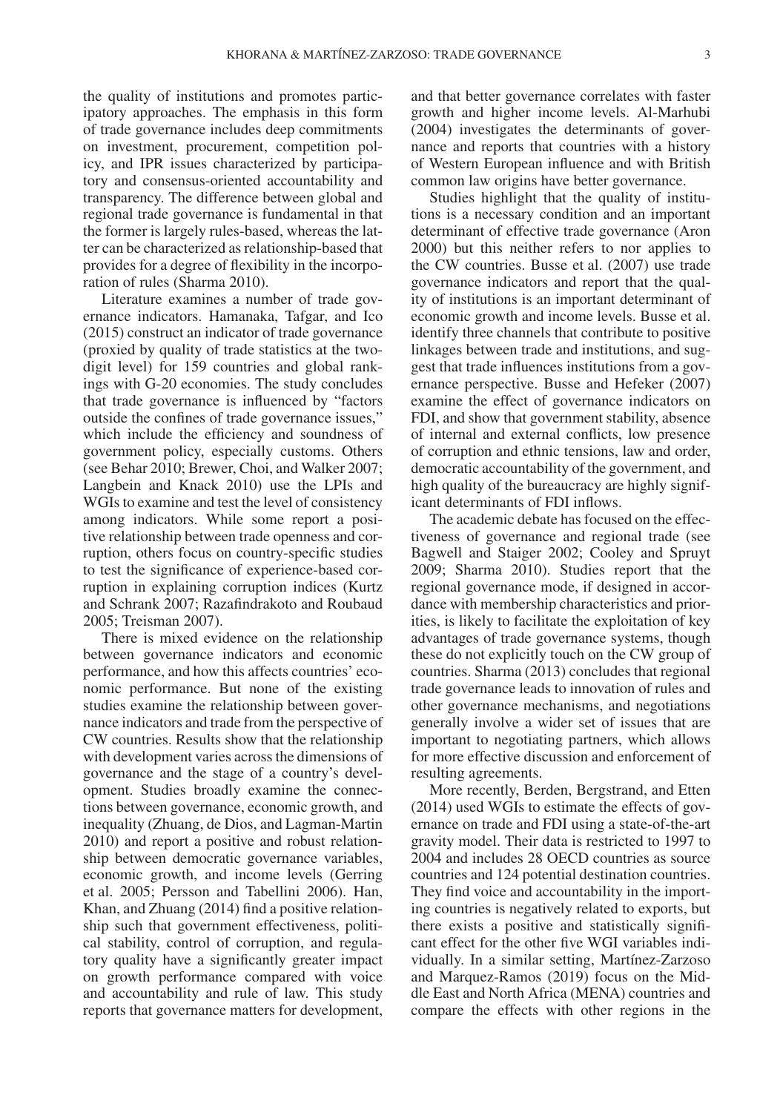the quality of institutions and promotes participatory approaches. The emphasis in this form of trade governance includes deep commitments on investment, procurement, competition policy, and IPR issues characterized by participatory and consensus-oriented accountability and transparency. The difference between global and regional trade governance is fundamental in that the former is largely rules-based, whereas the latter can be characterized as relationship-based that provides for a degree of flexibility in the incorporation of rules (Sharma 2010).

Literature examines a number of trade governance indicators. Hamanaka, Tafgar, and Ico (2015) construct an indicator of trade governance (proxied by quality of trade statistics at the twodigit level) for 159 countries and global rankings with G-20 economies. The study concludes that trade governance is influenced by "factors outside the confines of trade governance issues," which include the efficiency and soundness of government policy, especially customs. Others (see Behar 2010; Brewer, Choi, and Walker 2007; Langbein and Knack 2010) use the LPIs and WGIs to examine and test the level of consistency among indicators. While some report a positive relationship between trade openness and corruption, others focus on country-specific studies to test the significance of experience-based corruption in explaining corruption indices (Kurtz and Schrank 2007; Razafindrakoto and Roubaud 2005; Treisman 2007).

There is mixed evidence on the relationship between governance indicators and economic performance, and how this affects countries' economic performance. But none of the existing studies examine the relationship between governance indicators and trade from the perspective of CW countries. Results show that the relationship with development varies across the dimensions of governance and the stage of a country's development. Studies broadly examine the connections between governance, economic growth, and inequality (Zhuang, de Dios, and Lagman-Martin 2010) and report a positive and robust relationship between democratic governance variables, economic growth, and income levels (Gerring et al. 2005; Persson and Tabellini 2006). Han, Khan, and Zhuang (2014) find a positive relationship such that government effectiveness, political stability, control of corruption, and regulatory quality have a significantly greater impact on growth performance compared with voice and accountability and rule of law. This study reports that governance matters for development, and that better governance correlates with faster growth and higher income levels. Al-Marhubi (2004) investigates the determinants of governance and reports that countries with a history of Western European influence and with British common law origins have better governance.

Studies highlight that the quality of institutions is a necessary condition and an important determinant of effective trade governance (Aron 2000) but this neither refers to nor applies to the CW countries. Busse et al. (2007) use trade governance indicators and report that the quality of institutions is an important determinant of economic growth and income levels. Busse et al. identify three channels that contribute to positive linkages between trade and institutions, and suggest that trade influences institutions from a governance perspective. Busse and Hefeker (2007) examine the effect of governance indicators on FDI, and show that government stability, absence of internal and external conflicts, low presence of corruption and ethnic tensions, law and order, democratic accountability of the government, and high quality of the bureaucracy are highly significant determinants of FDI inflows.

The academic debate has focused on the effectiveness of governance and regional trade (see Bagwell and Staiger 2002; Cooley and Spruyt 2009; Sharma 2010). Studies report that the regional governance mode, if designed in accordance with membership characteristics and priorities, is likely to facilitate the exploitation of key advantages of trade governance systems, though these do not explicitly touch on the CW group of countries. Sharma (2013) concludes that regional trade governance leads to innovation of rules and other governance mechanisms, and negotiations generally involve a wider set of issues that are important to negotiating partners, which allows for more effective discussion and enforcement of resulting agreements.

More recently, Berden, Bergstrand, and Etten (2014) used WGIs to estimate the effects of governance on trade and FDI using a state-of-the-art gravity model. Their data is restricted to 1997 to 2004 and includes 28 OECD countries as source countries and 124 potential destination countries. They find voice and accountability in the importing countries is negatively related to exports, but there exists a positive and statistically significant effect for the other five WGI variables individually. In a similar setting, Martínez-Zarzoso and Marquez-Ramos (2019) focus on the Middle East and North Africa (MENA) countries and compare the effects with other regions in the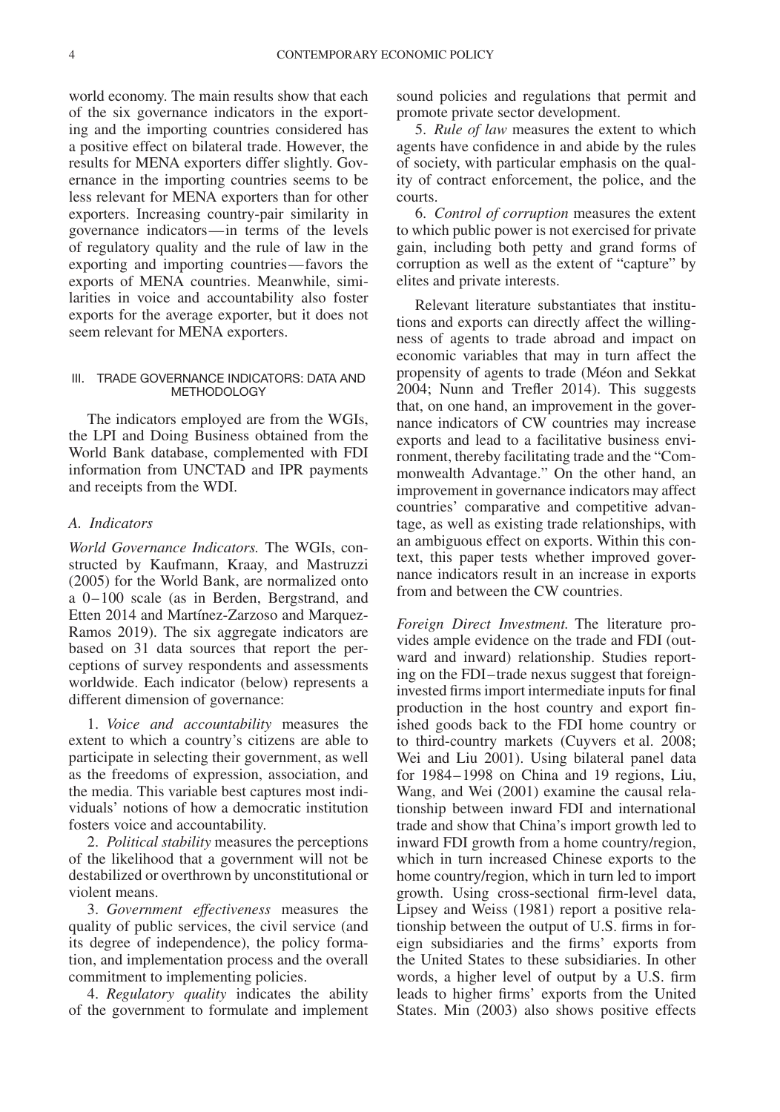world economy. The main results show that each of the six governance indicators in the exporting and the importing countries considered has a positive effect on bilateral trade. However, the results for MENA exporters differ slightly. Governance in the importing countries seems to be less relevant for MENA exporters than for other exporters. Increasing country-pair similarity in governance indicators—in terms of the levels of regulatory quality and the rule of law in the exporting and importing countries— favors the exports of MENA countries. Meanwhile, similarities in voice and accountability also foster exports for the average exporter, but it does not seem relevant for MENA exporters.

# III. TRADE GOVERNANCE INDICATORS: DATA AND METHODOLOGY

The indicators employed are from the WGIs, the LPI and Doing Business obtained from the World Bank database, complemented with FDI information from UNCTAD and IPR payments and receipts from the WDI.

# *A. Indicators*

*World Governance Indicators.* The WGIs, constructed by Kaufmann, Kraay, and Mastruzzi (2005) for the World Bank, are normalized onto a 0–100 scale (as in Berden, Bergstrand, and Etten 2014 and Martínez-Zarzoso and Marquez-Ramos 2019). The six aggregate indicators are based on 31 data sources that report the perceptions of survey respondents and assessments worldwide. Each indicator (below) represents a different dimension of governance:

1. *Voice and accountability* measures the extent to which a country's citizens are able to participate in selecting their government, as well as the freedoms of expression, association, and the media. This variable best captures most individuals' notions of how a democratic institution fosters voice and accountability.

2. *Political stability* measures the perceptions of the likelihood that a government will not be destabilized or overthrown by unconstitutional or violent means.

3. *Government effectiveness* measures the quality of public services, the civil service (and its degree of independence), the policy formation, and implementation process and the overall commitment to implementing policies.

4. *Regulatory quality* indicates the ability of the government to formulate and implement sound policies and regulations that permit and promote private sector development.

5. *Rule of law* measures the extent to which agents have confidence in and abide by the rules of society, with particular emphasis on the quality of contract enforcement, the police, and the courts.

6. *Control of corruption* measures the extent to which public power is not exercised for private gain, including both petty and grand forms of corruption as well as the extent of "capture" by elites and private interests.

Relevant literature substantiates that institutions and exports can directly affect the willingness of agents to trade abroad and impact on economic variables that may in turn affect the propensity of agents to trade (Méon and Sekkat 2004; Nunn and Trefler 2014). This suggests that, on one hand, an improvement in the governance indicators of CW countries may increase exports and lead to a facilitative business environment, thereby facilitating trade and the "Commonwealth Advantage." On the other hand, an improvement in governance indicators may affect countries' comparative and competitive advantage, as well as existing trade relationships, with an ambiguous effect on exports. Within this context, this paper tests whether improved governance indicators result in an increase in exports from and between the CW countries.

*Foreign Direct Investment.* The literature provides ample evidence on the trade and FDI (outward and inward) relationship. Studies reporting on the FDI–trade nexus suggest that foreigninvested firms import intermediate inputs for final production in the host country and export finished goods back to the FDI home country or to third-country markets (Cuyvers et al. 2008; Wei and Liu 2001). Using bilateral panel data for 1984–1998 on China and 19 regions, Liu, Wang, and Wei (2001) examine the causal relationship between inward FDI and international trade and show that China's import growth led to inward FDI growth from a home country/region, which in turn increased Chinese exports to the home country/region, which in turn led to import growth. Using cross-sectional firm-level data, Lipsey and Weiss (1981) report a positive relationship between the output of U.S. firms in foreign subsidiaries and the firms' exports from the United States to these subsidiaries. In other words, a higher level of output by a U.S. firm leads to higher firms' exports from the United States. Min (2003) also shows positive effects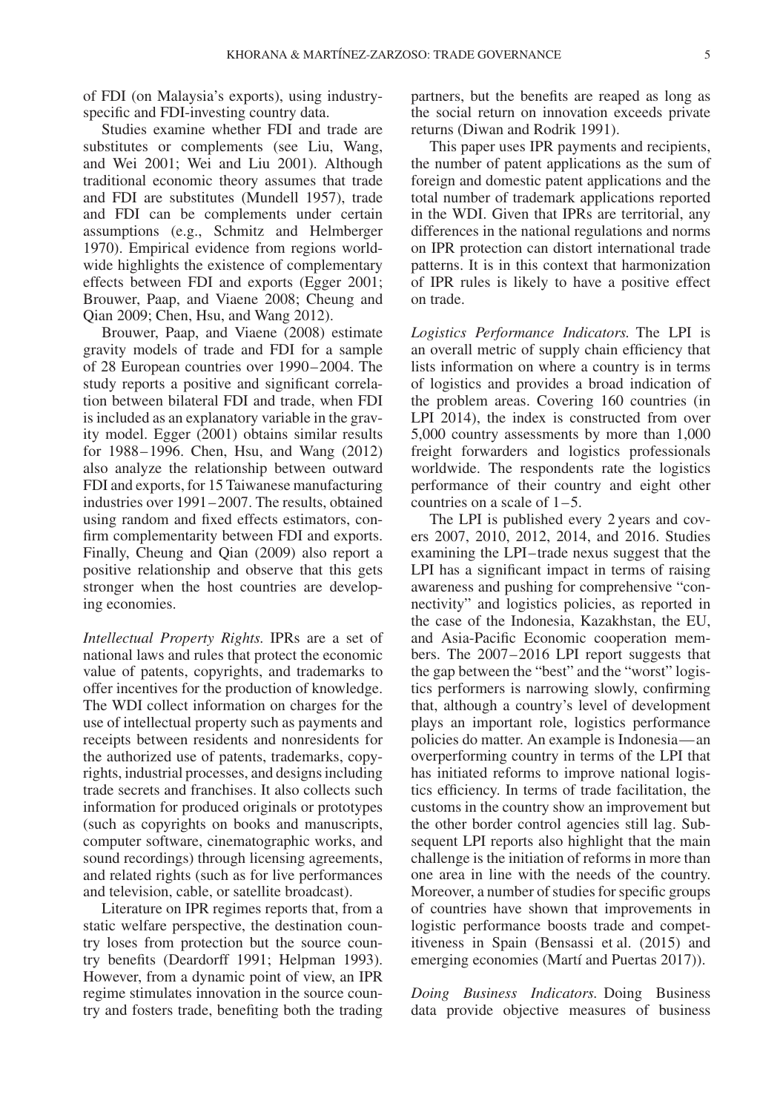of FDI (on Malaysia's exports), using industryspecific and FDI-investing country data.

Studies examine whether FDI and trade are substitutes or complements (see Liu, Wang, and Wei 2001; Wei and Liu 2001). Although traditional economic theory assumes that trade and FDI are substitutes (Mundell 1957), trade and FDI can be complements under certain assumptions (e.g., Schmitz and Helmberger 1970). Empirical evidence from regions worldwide highlights the existence of complementary effects between FDI and exports (Egger 2001; Brouwer, Paap, and Viaene 2008; Cheung and Qian 2009; Chen, Hsu, and Wang 2012).

Brouwer, Paap, and Viaene (2008) estimate gravity models of trade and FDI for a sample of 28 European countries over 1990–2004. The study reports a positive and significant correlation between bilateral FDI and trade, when FDI is included as an explanatory variable in the gravity model. Egger (2001) obtains similar results for 1988–1996. Chen, Hsu, and Wang (2012) also analyze the relationship between outward FDI and exports, for 15 Taiwanese manufacturing industries over 1991–2007. The results, obtained using random and fixed effects estimators, confirm complementarity between FDI and exports. Finally, Cheung and Qian (2009) also report a positive relationship and observe that this gets stronger when the host countries are developing economies.

*Intellectual Property Rights.* IPRs are a set of national laws and rules that protect the economic value of patents, copyrights, and trademarks to offer incentives for the production of knowledge. The WDI collect information on charges for the use of intellectual property such as payments and receipts between residents and nonresidents for the authorized use of patents, trademarks, copyrights, industrial processes, and designs including trade secrets and franchises. It also collects such information for produced originals or prototypes (such as copyrights on books and manuscripts, computer software, cinematographic works, and sound recordings) through licensing agreements, and related rights (such as for live performances and television, cable, or satellite broadcast).

Literature on IPR regimes reports that, from a static welfare perspective, the destination country loses from protection but the source country benefits (Deardorff 1991; Helpman 1993). However, from a dynamic point of view, an IPR regime stimulates innovation in the source country and fosters trade, benefiting both the trading partners, but the benefits are reaped as long as the social return on innovation exceeds private returns (Diwan and Rodrik 1991).

This paper uses IPR payments and recipients, the number of patent applications as the sum of foreign and domestic patent applications and the total number of trademark applications reported in the WDI. Given that IPRs are territorial, any differences in the national regulations and norms on IPR protection can distort international trade patterns. It is in this context that harmonization of IPR rules is likely to have a positive effect on trade.

*Logistics Performance Indicators.* The LPI is an overall metric of supply chain efficiency that lists information on where a country is in terms of logistics and provides a broad indication of the problem areas. Covering 160 countries (in LPI 2014), the index is constructed from over 5,000 country assessments by more than 1,000 freight forwarders and logistics professionals worldwide. The respondents rate the logistics performance of their country and eight other countries on a scale of 1–5.

The LPI is published every 2 years and covers 2007, 2010, 2012, 2014, and 2016. Studies examining the LPI–trade nexus suggest that the LPI has a significant impact in terms of raising awareness and pushing for comprehensive "connectivity" and logistics policies, as reported in the case of the Indonesia, Kazakhstan, the EU, and Asia-Pacific Economic cooperation members. The 2007–2016 LPI report suggests that the gap between the "best" and the "worst" logistics performers is narrowing slowly, confirming that, although a country's level of development plays an important role, logistics performance policies do matter. An example is Indonesia—an overperforming country in terms of the LPI that has initiated reforms to improve national logistics efficiency. In terms of trade facilitation, the customs in the country show an improvement but the other border control agencies still lag. Subsequent LPI reports also highlight that the main challenge is the initiation of reforms in more than one area in line with the needs of the country. Moreover, a number of studies for specific groups of countries have shown that improvements in logistic performance boosts trade and competitiveness in Spain (Bensassi et al. (2015) and emerging economies (Martí and Puertas 2017)).

*Doing Business Indicators.* Doing Business data provide objective measures of business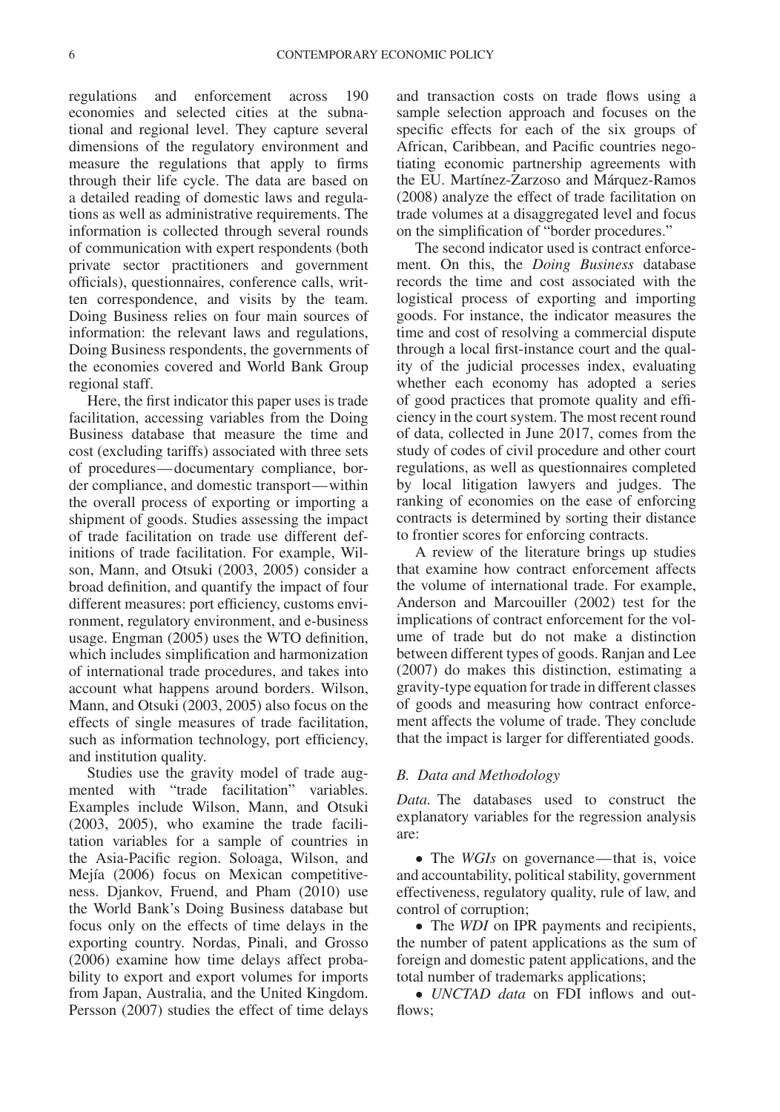regulations and enforcement across 190 economies and selected cities at the subnational and regional level. They capture several dimensions of the regulatory environment and measure the regulations that apply to firms through their life cycle. The data are based on a detailed reading of domestic laws and regulations as well as administrative requirements. The information is collected through several rounds of communication with expert respondents (both private sector practitioners and government officials), questionnaires, conference calls, written correspondence, and visits by the team. Doing Business relies on four main sources of information: the relevant laws and regulations, Doing Business respondents, the governments of the economies covered and World Bank Group regional staff.

Here, the first indicator this paper uses is trade facilitation, accessing variables from the Doing Business database that measure the time and cost (excluding tariffs) associated with three sets of procedures—documentary compliance, border compliance, and domestic transport—within the overall process of exporting or importing a shipment of goods. Studies assessing the impact of trade facilitation on trade use different definitions of trade facilitation. For example, Wilson, Mann, and Otsuki (2003, 2005) consider a broad definition, and quantify the impact of four different measures: port efficiency, customs environment, regulatory environment, and e-business usage. Engman (2005) uses the WTO definition, which includes simplification and harmonization of international trade procedures, and takes into account what happens around borders. Wilson, Mann, and Otsuki (2003, 2005) also focus on the effects of single measures of trade facilitation, such as information technology, port efficiency, and institution quality.

Studies use the gravity model of trade augmented with "trade facilitation" variables. Examples include Wilson, Mann, and Otsuki (2003, 2005), who examine the trade facilitation variables for a sample of countries in the Asia-Pacific region. Soloaga, Wilson, and Mejía (2006) focus on Mexican competitiveness. Djankov, Fruend, and Pham (2010) use the World Bank's Doing Business database but focus only on the effects of time delays in the exporting country. Nordas, Pinali, and Grosso (2006) examine how time delays affect probability to export and export volumes for imports from Japan, Australia, and the United Kingdom. Persson (2007) studies the effect of time delays

and transaction costs on trade flows using a sample selection approach and focuses on the specific effects for each of the six groups of African, Caribbean, and Pacific countries negotiating economic partnership agreements with the EU. Martínez-Zarzoso and Márquez-Ramos (2008) analyze the effect of trade facilitation on trade volumes at a disaggregated level and focus on the simplification of "border procedures."

The second indicator used is contract enforcement. On this, the *Doing Business* database records the time and cost associated with the logistical process of exporting and importing goods. For instance, the indicator measures the time and cost of resolving a commercial dispute through a local first-instance court and the quality of the judicial processes index, evaluating whether each economy has adopted a series of good practices that promote quality and efficiency in the court system. The most recent round of data, collected in June 2017, comes from the study of codes of civil procedure and other court regulations, as well as questionnaires completed by local litigation lawyers and judges. The ranking of economies on the ease of enforcing contracts is determined by sorting their distance to frontier scores for enforcing contracts.

A review of the literature brings up studies that examine how contract enforcement affects the volume of international trade. For example, Anderson and Marcouiller (2002) test for the implications of contract enforcement for the volume of trade but do not make a distinction between different types of goods. Ranjan and Lee (2007) do makes this distinction, estimating a gravity-type equation for trade in different classes of goods and measuring how contract enforcement affects the volume of trade. They conclude that the impact is larger for differentiated goods.

# *B. Data and Methodology*

*Data.* The databases used to construct the explanatory variables for the regression analysis are:

• The *WGIs* on governance—that is, voice and accountability, political stability, government effectiveness, regulatory quality, rule of law, and control of corruption;

• The *WDI* on IPR payments and recipients, the number of patent applications as the sum of foreign and domestic patent applications, and the total number of trademarks applications;

• *UNCTAD data* on FDI inflows and outflows;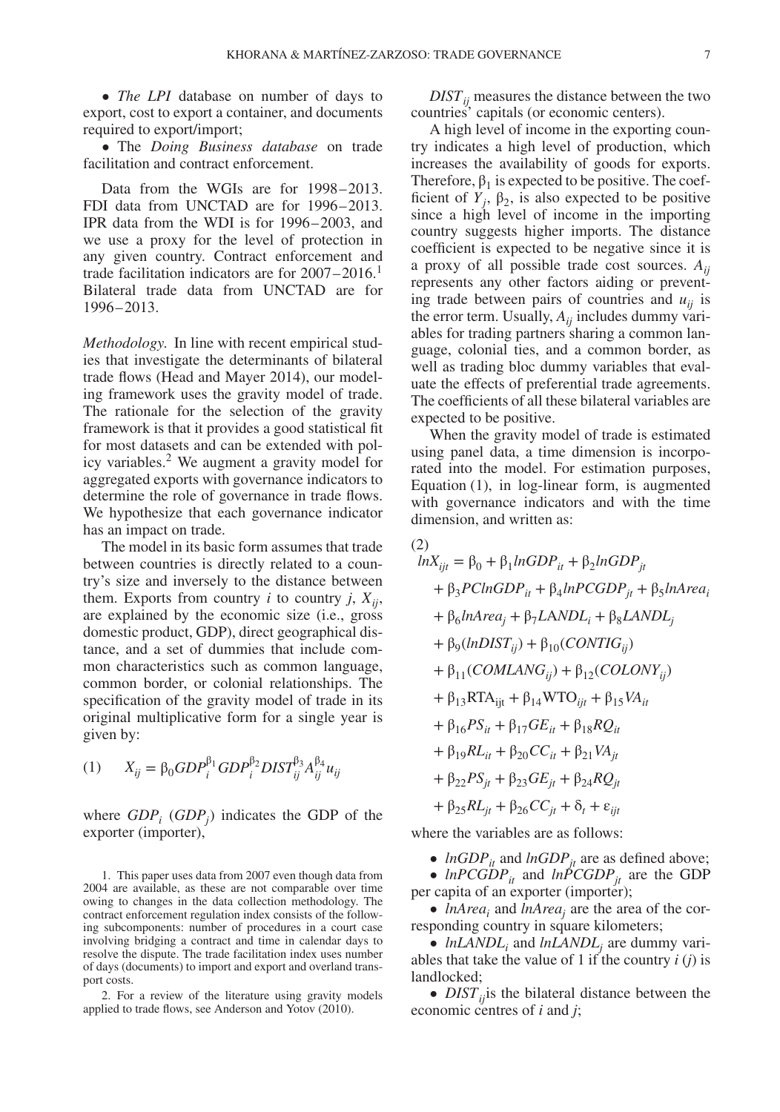• *The LPI* database on number of days to export, cost to export a container, and documents required to export/import;

• The *Doing Business database* on trade facilitation and contract enforcement.

Data from the WGIs are for 1998–2013. FDI data from UNCTAD are for 1996–2013. IPR data from the WDI is for 1996–2003, and we use a proxy for the level of protection in any given country. Contract enforcement and trade facilitation indicators are for  $2007-2016$  $2007-2016$  $2007-2016$ <sup>1</sup> Bilateral trade data from UNCTAD are for 1996–2013.

*Methodology.* In line with recent empirical studies that investigate the determinants of bilateral trade flows (Head and Mayer 2014), our modeling framework uses the gravity model of trade. The rationale for the selection of the gravity framework is that it provides a good statistical fit for most datasets and can be extended with policy variables.<sup>2</sup> We augment a gravity model for aggregated exports with governance indicators to determine the role of governance in trade flows. We hypothesize that each governance indicator has an impact on trade.

The model in its basic form assumes that trade between countries is directly related to a country's size and inversely to the distance between them. Exports from country *i* to country *j*,  $X_{ii}$ , are explained by the economic size (i.e., gross domestic product, GDP), direct geographical distance, and a set of dummies that include common characteristics such as common language, common border, or colonial relationships. The specification of the gravity model of trade in its original multiplicative form for a single year is given by:

$$
(1) \qquad X_{ij} = \beta_0 GDP_i^{\beta_1} GDP_i^{\beta_2} DIST_{ij}^{\beta_3} A_{ij}^{\beta_4} u_{ij}
$$

where  $GDP_i$  ( $GDP_j$ ) indicates the GDP of the exporter (importer),

<span id="page-6-0"></span>1. This paper uses data from 2007 even though data from 2004 are available, as these are not comparable over time owing to changes in the data collection methodology. The contract enforcement regulation index consists of the following subcomponents: number of procedures in a court case involving bridging a contract and time in calendar days to resolve the dispute. The trade facilitation index uses number of days (documents) to import and export and overland transport costs.

<span id="page-6-1"></span>2. For a review of the literature using gravity models applied to trade flows, see Anderson and Yotov (2010).

 $DIST_{ij}$  measures the distance between the two countries' capitals (or economic centers).

A high level of income in the exporting country indicates a high level of production, which increases the availability of goods for exports. Therefore,  $\beta_1$  is expected to be positive. The coefficient of  $Y_j$ ,  $β_2$ , is also expected to be positive since a high level of income in the importing country suggests higher imports. The distance coefficient is expected to be negative since it is a proxy of all possible trade cost sources. *Aij* represents any other factors aiding or preventing trade between pairs of countries and  $u_{ii}$  is the error term. Usually, *Aij* includes dummy variables for trading partners sharing a common language, colonial ties, and a common border, as well as trading bloc dummy variables that evaluate the effects of preferential trade agreements. The coefficients of all these bilateral variables are expected to be positive.

When the gravity model of trade is estimated using panel data, a time dimension is incorporated into the model. For estimation purposes, Equation (1), in log-linear form, is augmented with governance indicators and with the time dimension, and written as:

(2)

$$
lnX_{ijt} = \beta_0 + \beta_1 lnGDP_{it} + \beta_2 lnGDP_{jt}
$$
  
+  $\beta_3 P C lnGDP_{it} + \beta_4 lnPCGDP_{jt} + \beta_5 lnArea_i$   
+  $\beta_6 lnArea_j + \beta_7 LANDL_i + \beta_8 LANDL_j$   
+  $\beta_9(lnDIST_{ij}) + \beta_{10}(CONTIG_{ij})$   
+  $\beta_{11}(COMLANG_{ij}) + \beta_{12}(COLONY_{ij})$   
+  $\beta_{13} RTA_{ijt} + \beta_{14} WTO_{ijt} + \beta_{15} VA_{it}$   
+  $\beta_{16} PS_{it} + \beta_{17} GE_{it} + \beta_{18} RQ_{it}$   
+  $\beta_{19} RL_{it} + \beta_{20} CC_{it} + \beta_{21} VA_{jt}$   
+  $\beta_{22} PS_{jt} + \beta_{23} GE_{jt} + \beta_{24} RQ_{jt}$   
+  $\beta_{25} RL_{jt} + \beta_{26} CC_{jt} + \delta_t + \varepsilon_{ijt}$ 

where the variables are as follows:

•  $lnGDP_{it}$  and  $lnGDP_{it}$  are as defined above;

•  $lnPCGDP_{it}$  and  $lnPCGDP_{it}$  are the GDP per capita of an exporter (importer);

• *lnArea<sub>i</sub>* and *lnArea<sub>i</sub>* are the area of the corresponding country in square kilometers;

• *lnLANDL*<sub>*i*</sub> and *lnLANDL*<sub>*i*</sub> are dummy variables that take the value of 1 if the country  $i(j)$  is landlocked;

•  $DIST_{ij}$  is the bilateral distance between the economic centres of *i* and *j*;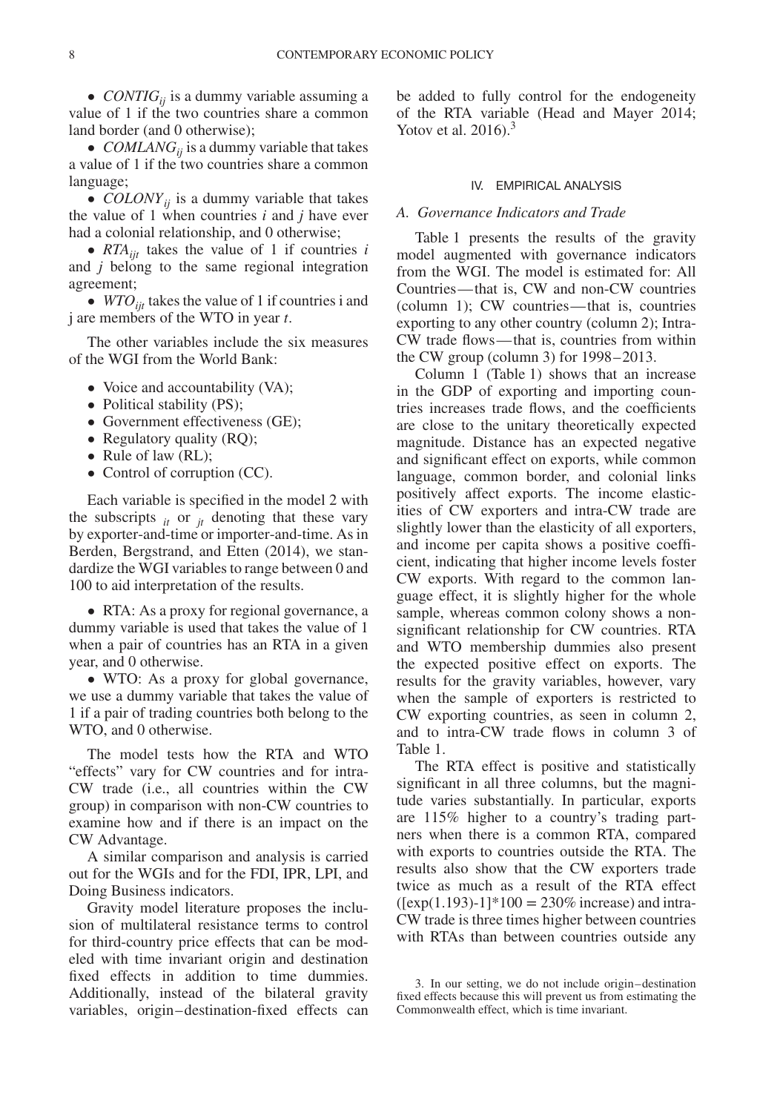• *CONTIG<sub>ii</sub>* is a dummy variable assuming a value of 1 if the two countries share a common land border (and 0 otherwise);

• *COMLANG*<sub>ij</sub> is a dummy variable that takes a value of 1 if the two countries share a common language;

• *COLONY*<sub>*ij*</sub> is a dummy variable that takes the value of 1 when countries *i* and *j* have ever had a colonial relationship, and 0 otherwise;

•  $RTA_{ijt}$  takes the value of 1 if countries *i* and *j* belong to the same regional integration agreement;

• *WTO*<sub>iit</sub> takes the value of 1 if countries i and j are members of the WTO in year *t*.

The other variables include the six measures of the WGI from the World Bank:

- Voice and accountability (VA);
- Political stability (PS);
- Government effectiveness (GE);
- Regulatory quality (RQ);
- Rule of law (RL);
- Control of corruption (CC).

Each variable is specified in the model 2 with the subscripts  $\dot{u}$  or  $\dot{u}$  denoting that these vary by exporter-and-time or importer-and-time. As in Berden, Bergstrand, and Etten (2014), we standardize the WGI variables to range between 0 and 100 to aid interpretation of the results.

• RTA: As a proxy for regional governance, a dummy variable is used that takes the value of 1 when a pair of countries has an RTA in a given year, and 0 otherwise.

• WTO: As a proxy for global governance, we use a dummy variable that takes the value of 1 if a pair of trading countries both belong to the WTO, and 0 otherwise.

The model tests how the RTA and WTO "effects" vary for CW countries and for intra-CW trade (i.e., all countries within the CW group) in comparison with non-CW countries to examine how and if there is an impact on the CW Advantage.

A similar comparison and analysis is carried out for the WGIs and for the FDI, IPR, LPI, and Doing Business indicators.

Gravity model literature proposes the inclusion of multilateral resistance terms to control for third-country price effects that can be modeled with time invariant origin and destination fixed effects in addition to time dummies. Additionally, instead of the bilateral gravity variables, origin–destination-fixed effects can

be added to fully control for the endogeneity of the RTA variable (Head and Mayer 2014; Yotov et al.  $2016$ ).<sup>3</sup>

#### IV. EMPIRICAL ANALYSIS

## *A. Governance Indicators and Trade*

Table 1 presents the results of the gravity model augmented with governance indicators from the WGI. The model is estimated for: All Countries—that is, CW and non-CW countries (column 1); CW countries—that is, countries exporting to any other country (column 2); Intra-CW trade flows—that is, countries from within the CW group (column 3) for 1998–2013.

Column 1 (Table 1) shows that an increase in the GDP of exporting and importing countries increases trade flows, and the coefficients are close to the unitary theoretically expected magnitude. Distance has an expected negative and significant effect on exports, while common language, common border, and colonial links positively affect exports. The income elasticities of CW exporters and intra-CW trade are slightly lower than the elasticity of all exporters, and income per capita shows a positive coefficient, indicating that higher income levels foster CW exports. With regard to the common language effect, it is slightly higher for the whole sample, whereas common colony shows a nonsignificant relationship for CW countries. RTA and WTO membership dummies also present the expected positive effect on exports. The results for the gravity variables, however, vary when the sample of exporters is restricted to CW exporting countries, as seen in column 2, and to intra-CW trade flows in column 3 of Table 1.

The RTA effect is positive and statistically significant in all three columns, but the magnitude varies substantially. In particular, exports are 115% higher to a country's trading partners when there is a common RTA, compared with exports to countries outside the RTA. The results also show that the CW exporters trade twice as much as a result of the RTA effect  $([exp(1.193)-1]*100 = 230\%$  increase) and intra-CW trade is three times higher between countries with RTAs than between countries outside any

<span id="page-7-0"></span><sup>3.</sup> In our setting, we do not include origin–destination fixed effects because this will prevent us from estimating the Commonwealth effect, which is time invariant.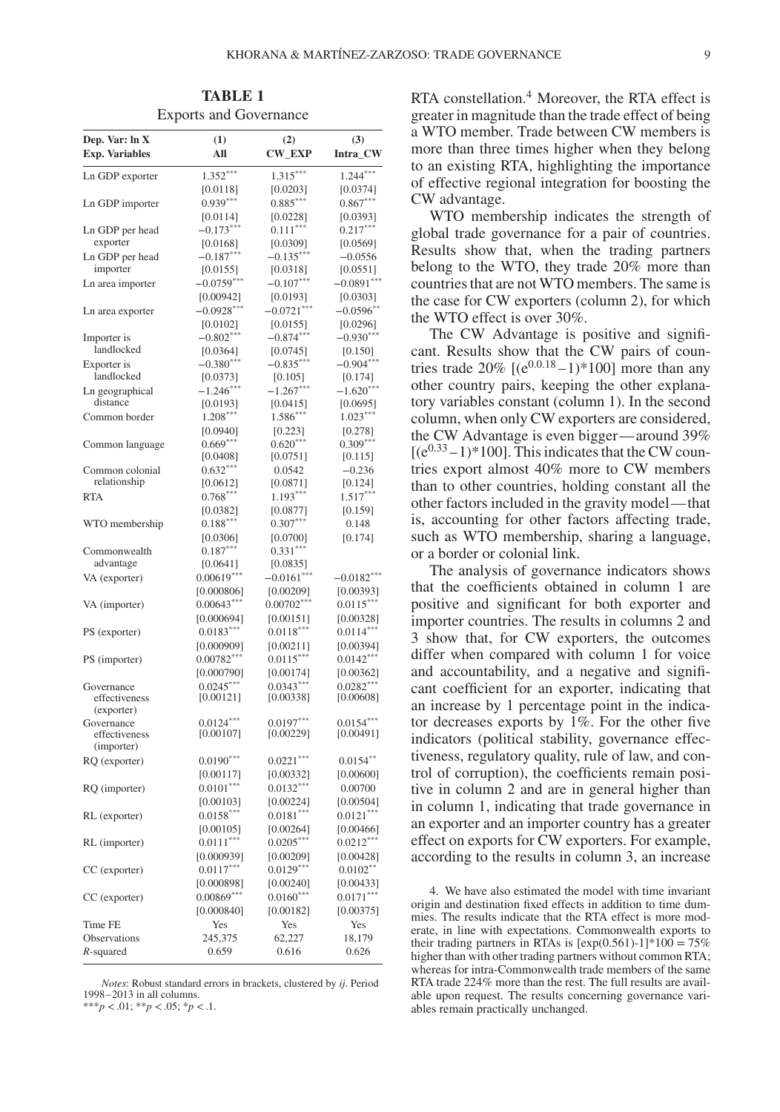**TABLE 1** Exports and Governance

| Dep. Var: ln X<br><b>Exp. Variables</b> | $\left( 1\right)$<br>All | (2)<br><b>CW EXP</b>     | (3)<br>Intra_CW        |
|-----------------------------------------|--------------------------|--------------------------|------------------------|
|                                         |                          |                          |                        |
| Ln GDP exporter                         | $1.352***$               | $1.315***$               | $1.244***$             |
|                                         | [0.0118]                 | [0.0203]                 | [0.0374]               |
| Ln GDP importer                         | $0.939***$               | $0.885***$               | $0.867***$             |
|                                         | [0.0114]                 | [0.0228]<br>$0.111***$   | [0.0393]               |
| Ln GDP per head<br>exporter             | $-0.173***$              |                          | $0.217***$<br>[0.0569] |
| Ln GDP per head                         | [0.0168]<br>$-0.187***$  | [0.0309]<br>$-0.135***$  | $-0.0556$              |
| importer                                | [0.0155]                 | [0.0318]                 | [0.0551]               |
| Ln area importer                        | $-0.0759***$             | $-0.107***$              | $-0.0891***$           |
|                                         | [0.00942]                | [0.0193]                 | [0.0303]               |
| Ln area exporter                        | $-0.0928***$             | $-0.0721***$             | $-0.0596**$            |
|                                         | [0.0102]                 | [0.0155]                 | [0.0296]               |
| Importer is                             | $-0.802***$              | $-0.874***$              | $-0.930***$            |
| landlocked                              | [0.0364]                 | [0.0745]                 | [0.150]                |
| Exporter is                             | $-0.380***$              | $-0.835***$              | $-0.904***$            |
| landlocked                              | [0.0373]                 | [0.105]                  | [0.174]                |
| Ln geographical                         | $-1.246***$              | $-1.267***$              | $-1.620***$            |
| distance                                | [0.0193]                 | [0.0415]                 | [0.0695]               |
| Common border                           | $1.208***$               | $1.586***$               | $1.023***$             |
|                                         | [0.0940]                 | [0.223]                  | [0.278]                |
| Common language                         | $0.669***$               | $0.620***$               | $0.309***$             |
|                                         | [0.0408]                 | [0.0751]                 | [0.115]                |
| Common colonial                         | $0.632***$               | 0.0542                   | $-0.236$               |
| relationship                            | [0.0612]                 | [0.0871]                 | [0.124]                |
| <b>RTA</b>                              | $0.768***$               | $1.193***$               | $1.517***$             |
|                                         | [0.0382]<br>$0.188***$   | [0.0877]<br>$0.307***$   | [0.159]                |
| WTO membership                          |                          |                          | 0.148                  |
|                                         | [0.0306]<br>$0.187***$   | [0.0700]<br>$0.331***$   | [0.174]                |
| Commonwealth<br>advantage               | [0.0641]                 | [0.0835]                 |                        |
| VA (exporter)                           | $0.00619***$             | $-0.0161***$             | $-0.0182***$           |
|                                         | [0.000806]               | [0.00209]                | [0.00393]              |
| VA (importer)                           | $0.00643***$             | $0.00702***$             | $0.0115***$            |
|                                         | [0.000694]               | [0.00151]                | [0.00328]              |
| PS (exporter)                           | $0.0183***$              | $0.0118***$              | $0.0114***$            |
|                                         | [0.000909]               | [0.00211]                | [0.00394]              |
| PS (importer)                           | $0.00782***$             | $0.0115***$              | $0.0142***$            |
|                                         | [0.000790]               | [0.00174]                | [0.00362]              |
| Governance                              | $0.0245***$              | $0.0343***$              | $0.0282***$            |
| effectiveness                           | [0.00121]                | [0.00338]                | [0.00608]              |
| (exporter)                              |                          |                          |                        |
| Governance                              | $0.0124***$              | $0.0197***$              | $0.0154***$            |
| effectiveness                           | [0.00107]                | [0.00229]                | [0.00491]              |
| (importer)                              | $0.0190***$              | $0.0221***$              | $0.0154**$             |
| RQ (exporter)                           |                          |                          | [0.00600]              |
|                                         | [0.00117]<br>$0.0101***$ | [0.00332]<br>$0.0132***$ | 0.00700                |
| RQ (importer)                           | [0.00103]                | [0.00224]                | [0.00504]              |
| RL (exporter)                           | $0.0158***$              | $0.0181***$              | $0.0121***$            |
|                                         | [0.00105]                | [0.00264]                | [0.00466]              |
| RL (importer)                           | $0.0111***$              | $0.0205***$              | $0.0212***$            |
|                                         | [0.000939]               | [0.00209]                | [0.00428]              |
| CC (exporter)                           | $0.0117***$              | $0.0129***$              | $0.0102***$            |
|                                         | [0.000898]               | [0.00240]                | [0.00433]              |
| CC (exporter)                           | $0.00869***$             | $0.0160***$              | $0.0171***$            |
|                                         | [0.000840]               | [0.00182]                | [0.00375]              |
| Time FE                                 | Yes                      | Yes                      | Yes                    |
| Observations                            | 245,375                  | 62,227                   | 18,179                 |
| R-squared                               | 0.659                    | 0.616                    | 0.626                  |
|                                         |                          |                          |                        |

*Notes*: Robust standard errors in brackets, clustered by *ij*. Period 1998–2013 in all columns.

\*\*\**p* < .01; \*\**p* < .05; \**p* < .1.

RTA constellation.<sup>[4](#page-8-0)</sup> Moreover, the RTA effect is greater in magnitude than the trade effect of being a WTO member. Trade between CW members is more than three times higher when they belong to an existing RTA, highlighting the importance of effective regional integration for boosting the CW advantage.

WTO membership indicates the strength of global trade governance for a pair of countries. Results show that, when the trading partners belong to the WTO, they trade 20% more than countries that are not WTO members. The same is the case for CW exporters (column 2), for which the WTO effect is over 30%.

The CW Advantage is positive and significant. Results show that the CW pairs of countries trade  $20\%$  [(e<sup>0.0.18</sup> – 1)\*100] more than any other country pairs, keeping the other explanatory variables constant (column 1). In the second column, when only CW exporters are considered, the CW Advantage is even bigger—around 39%  $[(e^{0.33} - 1)*100]$ . This indicates that the CW countries export almost 40% more to CW members than to other countries, holding constant all the other factors included in the gravity model—that is, accounting for other factors affecting trade, such as WTO membership, sharing a language, or a border or colonial link.

The analysis of governance indicators shows that the coefficients obtained in column 1 are positive and significant for both exporter and importer countries. The results in columns 2 and 3 show that, for CW exporters, the outcomes differ when compared with column 1 for voice and accountability, and a negative and significant coefficient for an exporter, indicating that an increase by 1 percentage point in the indicator decreases exports by 1%. For the other five indicators (political stability, governance effectiveness, regulatory quality, rule of law, and control of corruption), the coefficients remain positive in column 2 and are in general higher than in column 1, indicating that trade governance in an exporter and an importer country has a greater effect on exports for CW exporters. For example, according to the results in column 3, an increase

<span id="page-8-0"></span>4. We have also estimated the model with time invariant origin and destination fixed effects in addition to time dummies. The results indicate that the RTA effect is more moderate, in line with expectations. Commonwealth exports to their trading partners in RTAs is  $[exp(0.561)-1]*100 = 75%$ higher than with other trading partners without common RTA; whereas for intra-Commonwealth trade members of the same RTA trade 224% more than the rest. The full results are available upon request. The results concerning governance variables remain practically unchanged.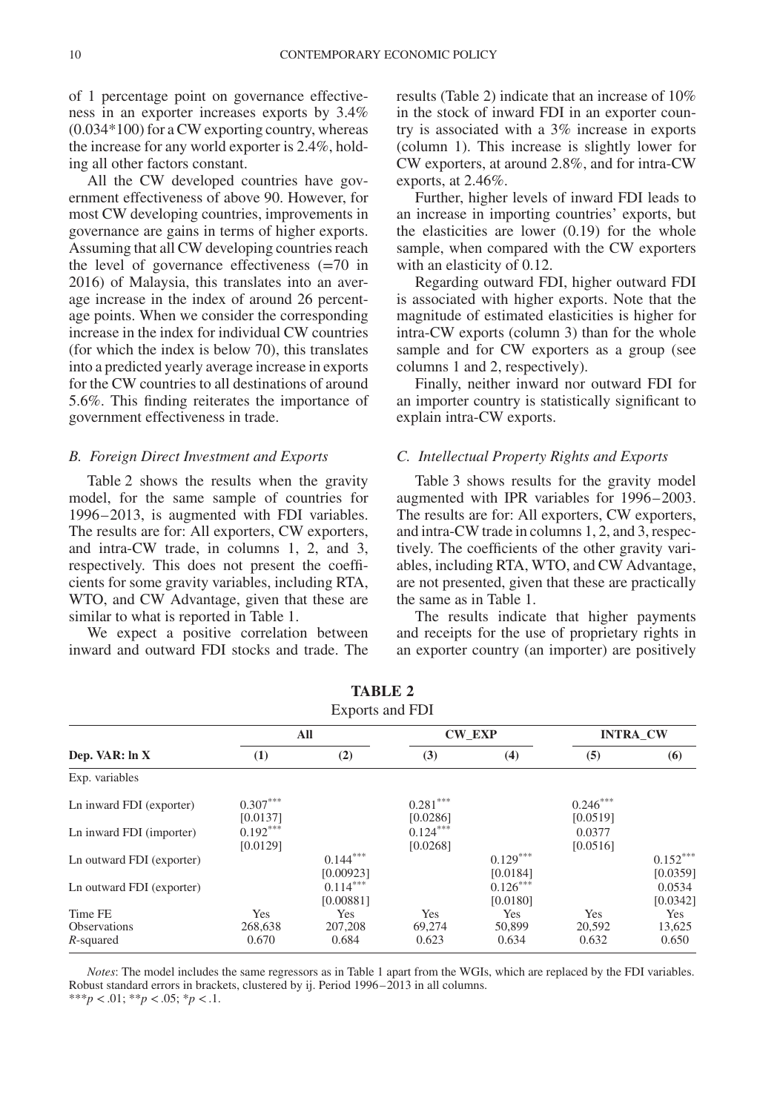of 1 percentage point on governance effectiveness in an exporter increases exports by 3.4% (0.034\*100) for a CW exporting country, whereas the increase for any world exporter is 2.4%, holding all other factors constant.

All the CW developed countries have government effectiveness of above 90. However, for most CW developing countries, improvements in governance are gains in terms of higher exports. Assuming that all CW developing countries reach the level of governance effectiveness  $(=70 \text{ in}$ 2016) of Malaysia, this translates into an average increase in the index of around 26 percentage points. When we consider the corresponding increase in the index for individual CW countries (for which the index is below 70), this translates into a predicted yearly average increase in exports for the CW countries to all destinations of around 5.6%. This finding reiterates the importance of government effectiveness in trade.

# *B. Foreign Direct Investment and Exports*

Table 2 shows the results when the gravity model, for the same sample of countries for 1996–2013, is augmented with FDI variables. The results are for: All exporters, CW exporters, and intra-CW trade, in columns 1, 2, and 3, respectively. This does not present the coefficients for some gravity variables, including RTA, WTO, and CW Advantage, given that these are similar to what is reported in Table 1.

We expect a positive correlation between inward and outward FDI stocks and trade. The results (Table 2) indicate that an increase of 10% in the stock of inward FDI in an exporter country is associated with a 3% increase in exports (column 1). This increase is slightly lower for CW exporters, at around 2.8%, and for intra-CW exports, at 2.46%.

Further, higher levels of inward FDI leads to an increase in importing countries' exports, but the elasticities are lower (0.19) for the whole sample, when compared with the CW exporters with an elasticity of 0.12.

Regarding outward FDI, higher outward FDI is associated with higher exports. Note that the magnitude of estimated elasticities is higher for intra-CW exports (column 3) than for the whole sample and for CW exporters as a group (see columns 1 and 2, respectively).

Finally, neither inward nor outward FDI for an importer country is statistically significant to explain intra-CW exports.

# *C. Intellectual Property Rights and Exports*

Table 3 shows results for the gravity model augmented with IPR variables for 1996–2003. The results are for: All exporters, CW exporters, and intra-CW trade in columns 1, 2, and 3, respectively. The coefficients of the other gravity variables, including RTA, WTO, and CW Advantage, are not presented, given that these are practically the same as in Table 1.

The results indicate that higher payments and receipts for the use of proprietary rights in an exporter country (an importer) are positively

| Exports and FDI           |                        |                         |                        |                        |                        |                        |
|---------------------------|------------------------|-------------------------|------------------------|------------------------|------------------------|------------------------|
|                           | All                    |                         | <b>CW EXP</b>          |                        | <b>INTRA CW</b>        |                        |
| Dep. VAR: ln X            | (1)                    | (2)                     | (3)                    | (4)                    | (5)                    | (6)                    |
| Exp. variables            |                        |                         |                        |                        |                        |                        |
| Ln inward FDI (exporter)  | $0.307***$<br>[0.0137] |                         | $0.281***$<br>[0.0286] |                        | $0.246***$<br>[0.0519] |                        |
| Ln inward FDI (importer)  | $0.192***$<br>[0.0129] |                         | $0.124***$<br>[0.0268] |                        | 0.0377<br>[0.0516]     |                        |
| Ln outward FDI (exporter) |                        | $0.144***$<br>[0.00923] |                        | $0.129***$<br>[0.0184] |                        | $0.152***$<br>[0.0359] |
| Ln outward FDI (exporter) |                        | $0.114***$<br>[0.00881] |                        | $0.126***$<br>[0.0180] |                        | 0.0534<br>[0.0342]     |
| Time FE                   | <b>Yes</b>             | <b>Yes</b>              | Yes                    | Yes                    | <b>Yes</b>             | Yes                    |
| <b>Observations</b>       | 268,638                | 207,208                 | 69,274                 | 50,899                 | 20,592                 | 13,625                 |
| R-squared                 | 0.670                  | 0.684                   | 0.623                  | 0.634                  | 0.632                  | 0.650                  |

**TABLE 2**

*Notes*: The model includes the same regressors as in Table 1 apart from the WGIs, which are replaced by the FDI variables. Robust standard errors in brackets, clustered by ij. Period 1996–2013 in all columns.  $***p$  < .01;  $**p$  < .05;  $*pi$  < .1.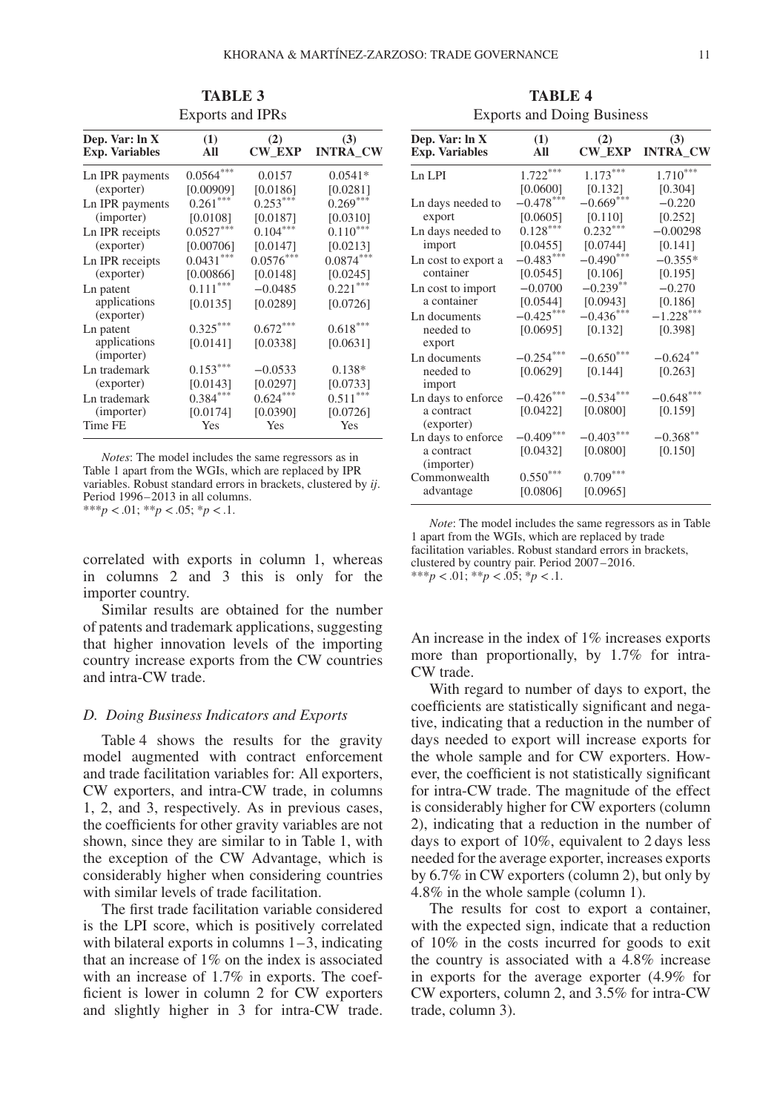|                                         | $\frac{1}{2}$ |                      |                        |
|-----------------------------------------|---------------|----------------------|------------------------|
| Dep. Var: ln X<br><b>Exp. Variables</b> | (1)<br>All    | (2)<br><b>CW EXP</b> | (3)<br><b>INTRA CW</b> |
| Ln IPR payments                         | $0.0564***$   | 0.0157               | $0.0541*$              |
| (exporter)                              | [0.00909]     | [0.0186]             | [0.0281]               |
| Ln IPR payments                         | $0.261***$    | $0.253***$           | $0.269***$             |
| (importer)                              | [0.0108]      | [0.0187]             | [0.0310]               |
| Ln IPR receipts                         | $0.0527***$   | $0.104***$           | $0.110***$             |
| (exporter)                              | [0.00706]     | [0.0147]             | [0.0213]               |
| Ln IPR receipts                         | $0.0431***$   | $0.0576***$          | $0.0874***$            |
| (exporter)                              | [0.00866]     | [0.0148]             | [0.0245]               |
| Ln patent                               | $0.111***$    | $-0.0485$            | $0.221***$             |
| applications<br>(exporter)              | [0.0135]      | [0.0289]             | [0.0726]               |
| Ln patent                               | $0.325***$    | $0.672***$           | $0.618***$             |
| applications<br>(importer)              | [0.0141]      | [0.0338]             | [0.0631]               |
| Ln trademark                            | $0.153***$    | $-0.0533$            | $0.138*$               |
| (exporter)                              | [0.0143]      | [0.0297]             | [0.0733]               |
| Ln trademark                            | $0.384***$    | $0.624***$           | $0.511***$             |
| (importer)                              | [0.0174]      | [0.0390]             | [0.0726]               |
| Time FE                                 | Yes           | Yes                  | Yes                    |

**TABLE 3** Exports and IPRs

*Notes*: The model includes the same regressors as in Table 1 apart from the WGIs, which are replaced by IPR variables. Robust standard errors in brackets, clustered by *ij*. Period 1996–2013 in all columns.

 $***p$  < .01;  $**p$  < .05;  $*p$  < .1.

correlated with exports in column 1, whereas in columns 2 and 3 this is only for the importer country.

Similar results are obtained for the number of patents and trademark applications, suggesting that higher innovation levels of the importing country increase exports from the CW countries and intra-CW trade.

## *D. Doing Business Indicators and Exports*

Table 4 shows the results for the gravity model augmented with contract enforcement and trade facilitation variables for: All exporters, CW exporters, and intra-CW trade, in columns 1, 2, and 3, respectively. As in previous cases, the coefficients for other gravity variables are not shown, since they are similar to in Table 1, with the exception of the CW Advantage, which is considerably higher when considering countries with similar levels of trade facilitation.

The first trade facilitation variable considered is the LPI score, which is positively correlated with bilateral exports in columns  $1-3$ , indicating that an increase of 1% on the index is associated with an increase of 1.7% in exports. The coefficient is lower in column 2 for CW exporters and slightly higher in 3 for intra-CW trade.

**TABLE 4** Exports and Doing Business

| Dep. Var: ln X<br><b>Exp. Variables</b> | (1)<br>All  | (2)<br><b>CW EXP</b> | (3)<br><b>INTRA CW</b> |
|-----------------------------------------|-------------|----------------------|------------------------|
| Ln LPI                                  | $1.722***$  | $1.173***$           | $1.710***$             |
|                                         | [0.0600]    | [0.132]              | [0.304]                |
| Ln days needed to                       | $-0.478***$ | $-0.669***$          | $-0.220$               |
| export                                  | [0.0605]    | [0.110]              | [0.252]                |
| Ln days needed to                       | $0.128***$  | $0.232***$           | $-0.00298$             |
| import                                  | [0.0455]    | [0.0744]             | [0.141]                |
| Ln cost to export a                     | $-0.483***$ | $-0.490***$          | $-0.355*$              |
| container                               | [0.0545]    | [0.106]              | [0.195]                |
| Ln cost to import                       | $-0.0700$   | $-0.239***$          | $-0.270$               |
| a container                             | [0.0544]    | [0.0943]             | [0.186]                |
| Ln documents                            | $-0.425***$ | $-0.436***$          | $-1.228***$            |
| needed to<br>export                     | [0.0695]    | [0.132]              | [0.398]                |
| Ln documents                            | $-0.254***$ | $-0.650***$          | $-0.624**$             |
| needed to<br>import                     | [0.0629]    | [0.144]              | [0.263]                |
| Ln days to enforce                      | $-0.426***$ | $-0.534***$          | $-0.648***$            |
| a contract<br>(exporter)                | [0.0422]    | [0.0800]             | [0.159]                |
| Ln days to enforce                      | $-0.409***$ | $-0.403***$          | $-0.368$ **            |
| a contract<br>(importer)                | [0.0432]    | [0.0800]             | [0.150]                |
| Commonwealth                            | $0.550***$  | $0.709***$           |                        |
| advantage                               | [0.0806]    | [0.0965]             |                        |

*Note*: The model includes the same regressors as in Table 1 apart from the WGIs, which are replaced by trade facilitation variables. Robust standard errors in brackets, clustered by country pair. Period 2007–2016. \*\*\**p* < .01; \*\**p* < .05; \**p* < .1.

An increase in the index of 1% increases exports more than proportionally, by 1.7% for intra-CW trade.

With regard to number of days to export, the coefficients are statistically significant and negative, indicating that a reduction in the number of days needed to export will increase exports for the whole sample and for CW exporters. However, the coefficient is not statistically significant for intra-CW trade. The magnitude of the effect is considerably higher for CW exporters (column 2), indicating that a reduction in the number of days to export of 10%, equivalent to 2 days less needed for the average exporter, increases exports by 6.7% in CW exporters (column 2), but only by 4.8% in the whole sample (column 1).

The results for cost to export a container, with the expected sign, indicate that a reduction of 10% in the costs incurred for goods to exit the country is associated with a 4.8% increase in exports for the average exporter (4.9% for CW exporters, column 2, and 3.5% for intra-CW trade, column 3).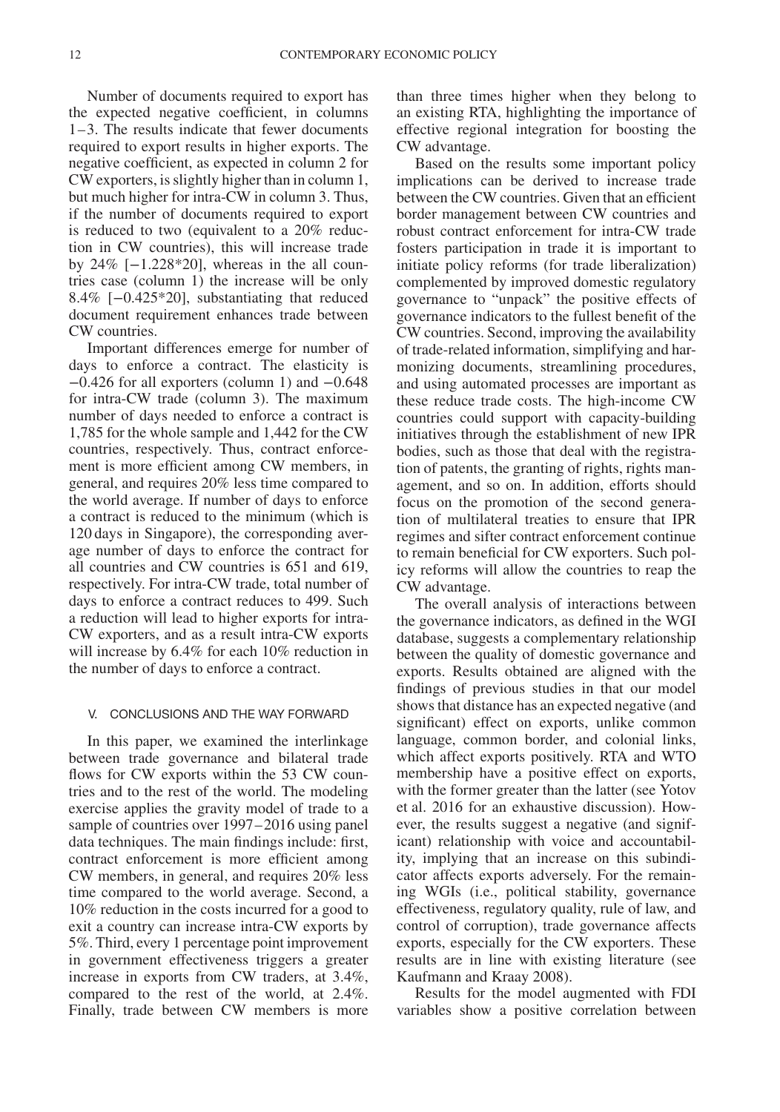Number of documents required to export has the expected negative coefficient, in columns 1–3. The results indicate that fewer documents required to export results in higher exports. The negative coefficient, as expected in column 2 for CW exporters, is slightly higher than in column 1, but much higher for intra-CW in column 3. Thus, if the number of documents required to export is reduced to two (equivalent to a 20% reduction in CW countries), this will increase trade by 24% [−1.228\*20], whereas in the all countries case (column 1) the increase will be only 8.4% [−0.425\*20], substantiating that reduced document requirement enhances trade between CW countries.

Important differences emerge for number of days to enforce a contract. The elasticity is  $-0.426$  for all exporters (column 1) and  $-0.648$ for intra-CW trade (column 3). The maximum number of days needed to enforce a contract is 1,785 for the whole sample and 1,442 for the CW countries, respectively. Thus, contract enforcement is more efficient among CW members, in general, and requires 20% less time compared to the world average. If number of days to enforce a contract is reduced to the minimum (which is 120 days in Singapore), the corresponding average number of days to enforce the contract for all countries and CW countries is 651 and 619, respectively. For intra-CW trade, total number of days to enforce a contract reduces to 499. Such a reduction will lead to higher exports for intra-CW exporters, and as a result intra-CW exports will increase by 6.4% for each 10% reduction in the number of days to enforce a contract.

#### V. CONCLUSIONS AND THE WAY FORWARD

In this paper, we examined the interlinkage between trade governance and bilateral trade flows for CW exports within the 53 CW countries and to the rest of the world. The modeling exercise applies the gravity model of trade to a sample of countries over 1997–2016 using panel data techniques. The main findings include: first, contract enforcement is more efficient among CW members, in general, and requires 20% less time compared to the world average. Second, a 10% reduction in the costs incurred for a good to exit a country can increase intra-CW exports by 5%. Third, every 1 percentage point improvement in government effectiveness triggers a greater increase in exports from CW traders, at 3.4%, compared to the rest of the world, at 2.4%. Finally, trade between CW members is more

than three times higher when they belong to an existing RTA, highlighting the importance of effective regional integration for boosting the CW advantage.

Based on the results some important policy implications can be derived to increase trade between the CW countries. Given that an efficient border management between CW countries and robust contract enforcement for intra-CW trade fosters participation in trade it is important to initiate policy reforms (for trade liberalization) complemented by improved domestic regulatory governance to "unpack" the positive effects of governance indicators to the fullest benefit of the CW countries. Second, improving the availability of trade-related information, simplifying and harmonizing documents, streamlining procedures, and using automated processes are important as these reduce trade costs. The high-income CW countries could support with capacity-building initiatives through the establishment of new IPR bodies, such as those that deal with the registration of patents, the granting of rights, rights management, and so on. In addition, efforts should focus on the promotion of the second generation of multilateral treaties to ensure that IPR regimes and sifter contract enforcement continue to remain beneficial for CW exporters. Such policy reforms will allow the countries to reap the CW advantage.

The overall analysis of interactions between the governance indicators, as defined in the WGI database, suggests a complementary relationship between the quality of domestic governance and exports. Results obtained are aligned with the findings of previous studies in that our model shows that distance has an expected negative (and significant) effect on exports, unlike common language, common border, and colonial links, which affect exports positively. RTA and WTO membership have a positive effect on exports, with the former greater than the latter (see Yotov et al. 2016 for an exhaustive discussion). However, the results suggest a negative (and significant) relationship with voice and accountability, implying that an increase on this subindicator affects exports adversely. For the remaining WGIs (i.e., political stability, governance effectiveness, regulatory quality, rule of law, and control of corruption), trade governance affects exports, especially for the CW exporters. These results are in line with existing literature (see Kaufmann and Kraay 2008).

Results for the model augmented with FDI variables show a positive correlation between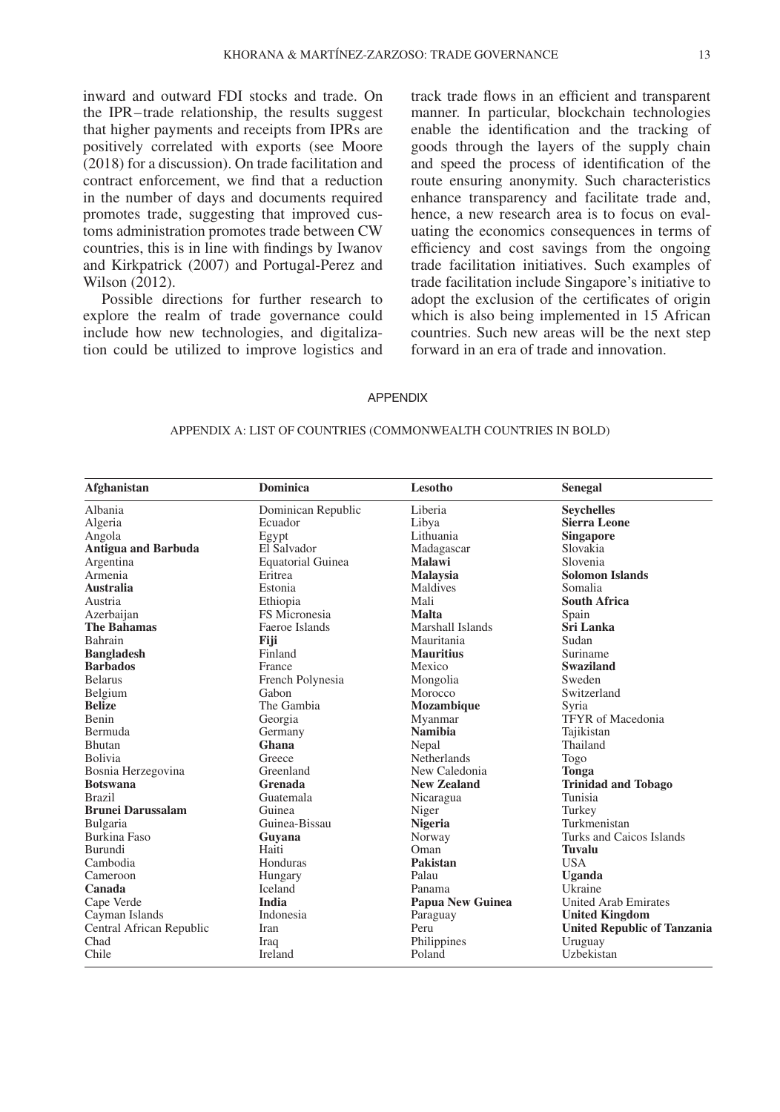inward and outward FDI stocks and trade. On the IPR–trade relationship, the results suggest that higher payments and receipts from IPRs are positively correlated with exports (see Moore (2018) for a discussion). On trade facilitation and contract enforcement, we find that a reduction in the number of days and documents required promotes trade, suggesting that improved customs administration promotes trade between CW countries, this is in line with findings by Iwanov and Kirkpatrick (2007) and Portugal-Perez and Wilson (2012).

Possible directions for further research to explore the realm of trade governance could include how new technologies, and digitalization could be utilized to improve logistics and track trade flows in an efficient and transparent manner. In particular, blockchain technologies enable the identification and the tracking of goods through the layers of the supply chain and speed the process of identification of the route ensuring anonymity. Such characteristics enhance transparency and facilitate trade and, hence, a new research area is to focus on evaluating the economics consequences in terms of efficiency and cost savings from the ongoing trade facilitation initiatives. Such examples of trade facilitation include Singapore's initiative to adopt the exclusion of the certificates of origin which is also being implemented in 15 African countries. Such new areas will be the next step forward in an era of trade and innovation.

# APPENDIX

## APPENDIX A: LIST OF COUNTRIES (COMMONWEALTH COUNTRIES IN BOLD)

| Afghanistan                | <b>Dominica</b>          | Lesotho                 | <b>Senegal</b>                     |
|----------------------------|--------------------------|-------------------------|------------------------------------|
| Albania                    | Dominican Republic       | Liberia                 | <b>Sevchelles</b>                  |
| Algeria                    | Ecuador                  | Libya                   | <b>Sierra Leone</b>                |
| Angola                     | Egypt                    | Lithuania               | <b>Singapore</b>                   |
| <b>Antigua and Barbuda</b> | El Salvador              | Madagascar              | Slovakia                           |
| Argentina                  | <b>Equatorial Guinea</b> | <b>Malawi</b>           | Slovenia                           |
| Armenia                    | Eritrea                  | <b>Malaysia</b>         | <b>Solomon Islands</b>             |
| <b>Australia</b>           | Estonia                  | Maldives                | Somalia                            |
| Austria                    | Ethiopia                 | Mali                    | <b>South Africa</b>                |
| Azerbaijan                 | FS Micronesia            | <b>Malta</b>            | Spain                              |
| <b>The Bahamas</b>         | Faeroe Islands           | Marshall Islands        | Sri Lanka                          |
| Bahrain                    | Fiji                     | Mauritania              | Sudan                              |
| <b>Bangladesh</b>          | Finland                  | <b>Mauritius</b>        | Suriname                           |
| <b>Barbados</b>            | France                   | Mexico                  | <b>Swaziland</b>                   |
| <b>Belarus</b>             | French Polynesia         | Mongolia                | Sweden                             |
| Belgium                    | Gabon                    | Morocco                 | Switzerland                        |
| <b>Belize</b>              | The Gambia               | <b>Mozambique</b>       | Syria                              |
| Benin                      | Georgia                  | Myanmar                 | TFYR of Macedonia                  |
| Bermuda                    | Germany                  | <b>Namibia</b>          | Tajikistan                         |
| <b>Bhutan</b>              | Ghana                    | Nepal                   | Thailand                           |
| <b>Bolivia</b>             | Greece                   | Netherlands             | Togo                               |
| Bosnia Herzegovina         | Greenland                | New Caledonia           | Tonga                              |
| <b>Botswana</b>            | Grenada                  | <b>New Zealand</b>      | <b>Trinidad and Tobago</b>         |
| <b>Brazil</b>              | Guatemala                | Nicaragua               | Tunisia                            |
| <b>Brunei Darussalam</b>   | Guinea                   | Niger                   | Turkey                             |
| Bulgaria                   | Guinea-Bissau            | <b>Nigeria</b>          | Turkmenistan                       |
| Burkina Faso               | Guyana                   | Norway                  | Turks and Caicos Islands           |
| Burundi                    | Haiti                    | Oman                    | Tuvalu                             |
| Cambodia                   | Honduras                 | Pakistan                | <b>USA</b>                         |
| Cameroon                   | Hungary                  | Palau                   | Uganda                             |
| Canada                     | Iceland                  | Panama                  | Ukraine                            |
| Cape Verde                 | India                    | <b>Papua New Guinea</b> | <b>United Arab Emirates</b>        |
| Cayman Islands             | Indonesia                | Paraguay                | <b>United Kingdom</b>              |
| Central African Republic   | Iran                     | Peru                    | <b>United Republic of Tanzania</b> |
| Chad                       | Iraq                     | Philippines             | Uruguay                            |
| Chile                      | Ireland                  | Poland                  | Uzbekistan                         |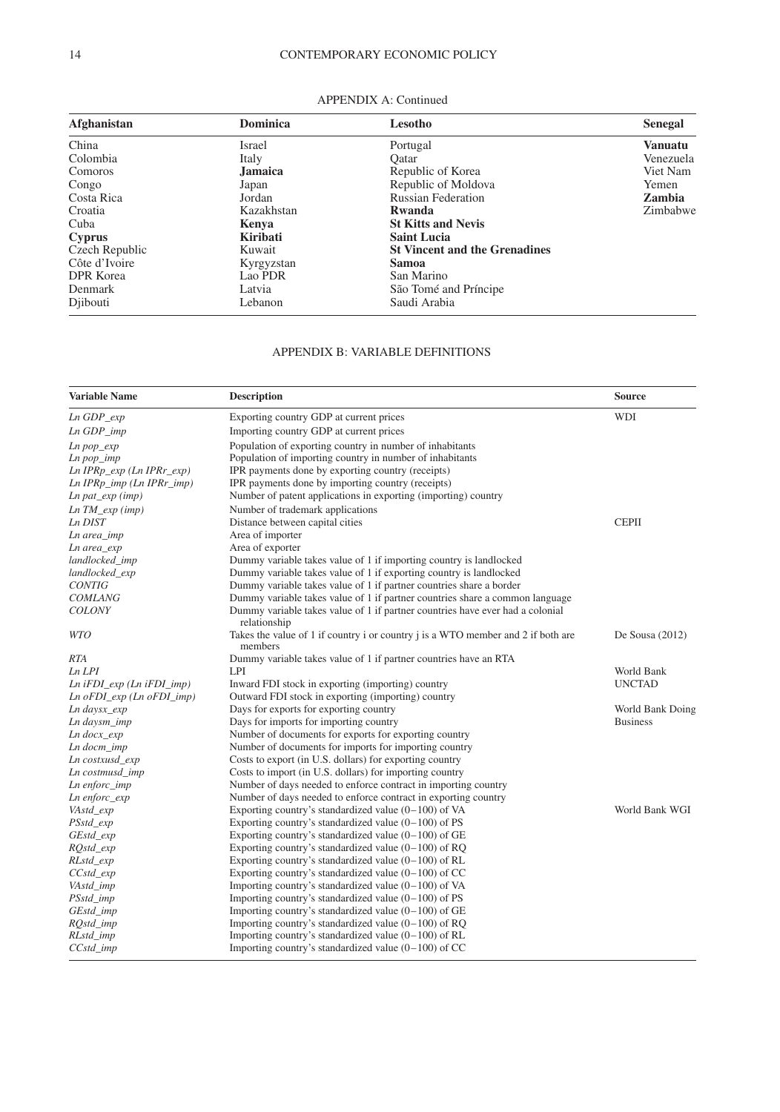| Afghanistan      | Dominica       | Lesotho                              | <b>Senegal</b> |
|------------------|----------------|--------------------------------------|----------------|
| China            | Israel         | Portugal                             | Vanuatu        |
| Colombia         | Italy          | Oatar                                | Venezuela      |
| Comoros          | <b>Jamaica</b> | Republic of Korea                    | Viet Nam       |
| Congo            | Japan          | Republic of Moldova                  | Yemen          |
| Costa Rica       | Jordan         | <b>Russian Federation</b>            | Zambia         |
| Croatia          | Kazakhstan     | Rwanda                               | Zimbabwe       |
| Cuba             | Kenya          | <b>St Kitts and Nevis</b>            |                |
| <b>Cyprus</b>    | Kiribati       | <b>Saint Lucia</b>                   |                |
| Czech Republic   | Kuwait         | <b>St Vincent and the Grenadines</b> |                |
| Côte d'Ivoire    | Kyrgyzstan     | Samoa                                |                |
| <b>DPR</b> Korea | Lao PDR        | San Marino                           |                |
| Denmark          | Latvia         | São Tomé and Príncipe                |                |
| Djibouti         | Lebanon        | Saudi Arabia                         |                |

# APPENDIX A: Continued

# APPENDIX B: VARIABLE DEFINITIONS

| <b>Variable Name</b>                  | <b>Description</b>                                                                            | <b>Source</b>    |
|---------------------------------------|-----------------------------------------------------------------------------------------------|------------------|
| Ln GDP_exp                            | Exporting country GDP at current prices                                                       | WDI              |
| Ln GDP_imp                            | Importing country GDP at current prices                                                       |                  |
| $Ln pop\_exp$                         | Population of exporting country in number of inhabitants                                      |                  |
| $Ln pop$ _imp                         | Population of importing country in number of inhabitants                                      |                  |
| Ln IPRp_exp (Ln IPRr_exp)             | IPR payments done by exporting country (receipts)                                             |                  |
| Ln IPRp_imp (Ln IPRr_imp)             | IPR payments done by importing country (receipts)                                             |                  |
| $Ln$ pat_exp $(imp)$                  | Number of patent applications in exporting (importing) country                                |                  |
| $Ln TM$ _exp (imp)                    | Number of trademark applications                                                              |                  |
| Ln DIST                               | Distance between capital cities                                                               | <b>CEPII</b>     |
| Ln area_imp                           | Area of importer                                                                              |                  |
| Ln area_exp                           | Area of exporter                                                                              |                  |
| landlocked imp                        | Dummy variable takes value of 1 if importing country is landlocked                            |                  |
| landlocked_exp                        | Dummy variable takes value of 1 if exporting country is landlocked                            |                  |
| <b>CONTIG</b>                         | Dummy variable takes value of 1 if partner countries share a border                           |                  |
| <b>COMLANG</b>                        | Dummy variable takes value of 1 if partner countries share a common language                  |                  |
| <b>COLONY</b>                         | Dummy variable takes value of 1 if partner countries have ever had a colonial<br>relationship |                  |
| WTO                                   | Takes the value of 1 if country i or country j is a WTO member and 2 if both are<br>members   | De Sousa (2012)  |
| <b>RTA</b>                            | Dummy variable takes value of 1 if partner countries have an RTA                              |                  |
| Ln LPI                                | LPI                                                                                           | World Bank       |
| Ln iFDI_exp (Ln iFDI_imp)             | Inward FDI stock in exporting (importing) country                                             | <b>UNCTAD</b>    |
| $Ln$ $oFDI$ $exp$ $(Ln$ $oFDI$ $imp)$ | Outward FDI stock in exporting (importing) country                                            |                  |
| Ln daysx_exp                          | Days for exports for exporting country                                                        | World Bank Doing |
| Ln daysm imp                          | Days for imports for importing country                                                        | <b>Business</b>  |
| Ln docx_exp                           | Number of documents for exports for exporting country                                         |                  |
| Ln docm imp                           | Number of documents for imports for importing country                                         |                  |
| Ln costxusd_exp                       | Costs to export (in U.S. dollars) for exporting country                                       |                  |
| Ln costmusd_imp                       | Costs to import (in U.S. dollars) for importing country                                       |                  |
| Ln enforc_imp                         | Number of days needed to enforce contract in importing country                                |                  |
| Ln enforc exp                         | Number of days needed to enforce contract in exporting country                                |                  |
| VAstd_exp                             | Exporting country's standardized value $(0-100)$ of VA                                        | World Bank WGI   |
| $PSstd\_exp$                          | Exporting country's standardized value $(0-100)$ of PS                                        |                  |
| GEstd_exp                             | Exporting country's standardized value $(0-100)$ of GE                                        |                  |
| ROstd_exp                             | Exporting country's standardized value $(0-100)$ of RQ                                        |                  |
| RLstd_exp                             | Exporting country's standardized value $(0-100)$ of RL                                        |                  |
| CCstd exp                             | Exporting country's standardized value $(0-100)$ of CC                                        |                  |
| VAstd imp                             | Importing country's standardized value $(0-100)$ of VA                                        |                  |
| PSstd_imp                             | Importing country's standardized value $(0-100)$ of PS                                        |                  |
| GEstd_imp                             | Importing country's standardized value $(0-100)$ of GE                                        |                  |
| RQstd_imp                             | Importing country's standardized value $(0-100)$ of RQ                                        |                  |
| RLstd imp                             | Importing country's standardized value $(0-100)$ of RL                                        |                  |
| $CCstd\_imp$                          | Importing country's standardized value $(0-100)$ of CC                                        |                  |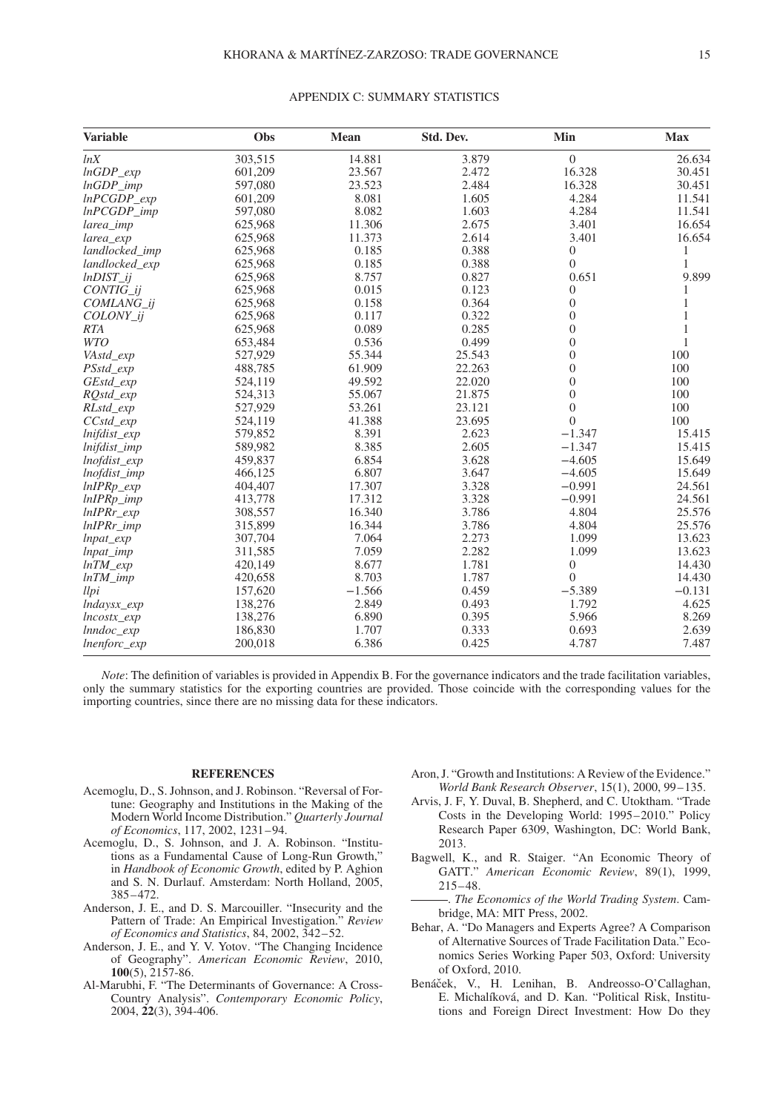| <b>Variable</b>           | Obs     | Mean     | Std. Dev. | Min              | <b>Max</b>   |
|---------------------------|---------|----------|-----------|------------------|--------------|
| lnX                       | 303,515 | 14.881   | 3.879     | $\theta$         | 26.634       |
| $lnGDP\_exp$              | 601,209 | 23.567   | 2.472     | 16.328           | 30.451       |
| $lnGDP\_imp$              | 597,080 | 23.523   | 2.484     | 16.328           | 30.451       |
| $lnPCGDP$ $exp$           | 601,209 | 8.081    | 1.605     | 4.284            | 11.541       |
| $lnPCGDP\_imp$            | 597,080 | 8.082    | 1.603     | 4.284            | 11.541       |
| larea_imp                 | 625,968 | 11.306   | 2.675     | 3.401            | 16.654       |
| larea_exp                 | 625,968 | 11.373   | 2.614     | 3.401            | 16.654       |
| landlocked_imp            | 625,968 | 0.185    | 0.388     | $\mathbf{0}$     | 1            |
| landlocked exp            | 625,968 | 0.185    | 0.388     | $\theta$         | $\mathbf{1}$ |
| $lnDIST\_ij$              | 625,968 | 8.757    | 0.827     | 0.651            | 9.899        |
| CONTIG_ij                 | 625,968 | 0.015    | 0.123     | $\theta$         | 1            |
| COMLANG_ij                | 625,968 | 0.158    | 0.364     | $\theta$         | 1            |
| COLONY_ij                 | 625,968 | 0.117    | 0.322     | $\theta$         | $\mathbf{1}$ |
| <b>RTA</b>                | 625,968 | 0.089    | 0.285     | $\boldsymbol{0}$ | $\mathbf{1}$ |
| <b>WTO</b>                | 653,484 | 0.536    | 0.499     | $\boldsymbol{0}$ | $\mathbf{1}$ |
| VAstd_exp                 | 527,929 | 55.344   | 25.543    | $\boldsymbol{0}$ | 100          |
| $PSstd\_exp$              | 488,785 | 61.909   | 22.263    | $\overline{0}$   | 100          |
| GEstd exp                 | 524,119 | 49.592   | 22.020    | $\theta$         | 100          |
| ROstd exp                 | 524,313 | 55.067   | 21.875    | $\boldsymbol{0}$ | 100          |
| RLstd_exp                 | 527,929 | 53.261   | 23.121    | $\boldsymbol{0}$ | 100          |
| $CCstd\_exp$              | 524,119 | 41.388   | 23.695    | $\Omega$         | 100          |
| $lnifdist\_exp$           | 579,852 | 8.391    | 2.623     | $-1.347$         | 15.415       |
| $lnifdist\_imp$           | 589,982 | 8.385    | 2.605     | $-1.347$         | 15.415       |
| $lnofdist\_exp$           | 459,837 | 6.854    | 3.628     | $-4.605$         | 15.649       |
| lnofdist imp              | 466,125 | 6.807    | 3.647     | $-4.605$         | 15.649       |
| $lnIPRp\_exp$             | 404,407 | 17.307   | 3.328     | $-0.991$         | 24.561       |
| $lnIPRp\_imp$             | 413,778 | 17.312   | 3.328     | $-0.991$         | 24.561       |
| $lnIPRr\_exp$             | 308,557 | 16.340   | 3.786     | 4.804            | 25.576       |
| $lnIPRr\_imp$             | 315,899 | 16.344   | 3.786     | 4.804            | 25.576       |
| $lnpat\_exp$              | 307,704 | 7.064    | 2.273     | 1.099            | 13.623       |
| $lnpat\_imp$              | 311,585 | 7.059    | 2.282     | 1.099            | 13.623       |
| $lnTM\_exp$               | 420,149 | 8.677    | 1.781     | $\boldsymbol{0}$ | 14.430       |
| $lnTM\_imp$               | 420,658 | 8.703    | 1.787     | $\Omega$         | 14.430       |
| llpi                      | 157,620 | $-1.566$ | 0.459     | $-5.389$         | $-0.131$     |
| $ln daysx\_exp$           | 138,276 | 2.849    | 0.493     | 1.792            | 4.625        |
| $lncostx$ <sub>_exp</sub> | 138,276 | 6.890    | 0.395     | 5.966            | 8.269        |
| $lnndoc\_exp$             | 186,830 | 1.707    | 0.333     | 0.693            | 2.639        |
| $lnenforc\_exp$           | 200,018 | 6.386    | 0.425     | 4.787            | 7.487        |

#### APPENDIX C: SUMMARY STATISTICS

*Note*: The definition of variables is provided in Appendix B. For the governance indicators and the trade facilitation variables, only the summary statistics for the exporting countries are provided. Those coincide with the corresponding values for the importing countries, since there are no missing data for these indicators.

#### **REFERENCES**

- Acemoglu, D., S. Johnson, and J. Robinson. "Reversal of Fortune: Geography and Institutions in the Making of the Modern World Income Distribution." *Quarterly Journal of Economics*, 117, 2002, 1231–94.
- Acemoglu, D., S. Johnson, and J. A. Robinson. "Institutions as a Fundamental Cause of Long-Run Growth," in *Handbook of Economic Growth*, edited by P. Aghion and S. N. Durlauf. Amsterdam: North Holland, 2005, 385–472.
- Anderson, J. E., and D. S. Marcouiller. "Insecurity and the Pattern of Trade: An Empirical Investigation." *Review of Economics and Statistics*, 84, 2002, 342–52.
- Anderson, J. E., and Y. V. Yotov. "The Changing Incidence of Geography". *American Economic Review*, 2010, **100**(5), 2157-86.
- Al-Marubhi, F. "The Determinants of Governance: A Cross-Country Analysis". *Contemporary Economic Policy*, 2004, **22**(3), 394-406.
- Aron, J. "Growth and Institutions: A Review of the Evidence." *World Bank Research Observer*, 15(1), 2000, 99–135.
- Arvis, J. F, Y. Duval, B. Shepherd, and C. Utoktham. "Trade Costs in the Developing World: 1995–2010." Policy Research Paper 6309, Washington, DC: World Bank, 2013.
- Bagwell, K., and R. Staiger. "An Economic Theory of GATT." *American Economic Review*, 89(1), 1999, 215–48.
- . *The Economics of the World Trading System*. Cambridge, MA: MIT Press, 2002.
- Behar, A. "Do Managers and Experts Agree? A Comparison of Alternative Sources of Trade Facilitation Data." Economics Series Working Paper 503, Oxford: University of Oxford, 2010.
- Benáček, V., H. Lenihan, B. Andreosso-O'Callaghan, E. Michalíková, and D. Kan. "Political Risk, Institutions and Foreign Direct Investment: How Do they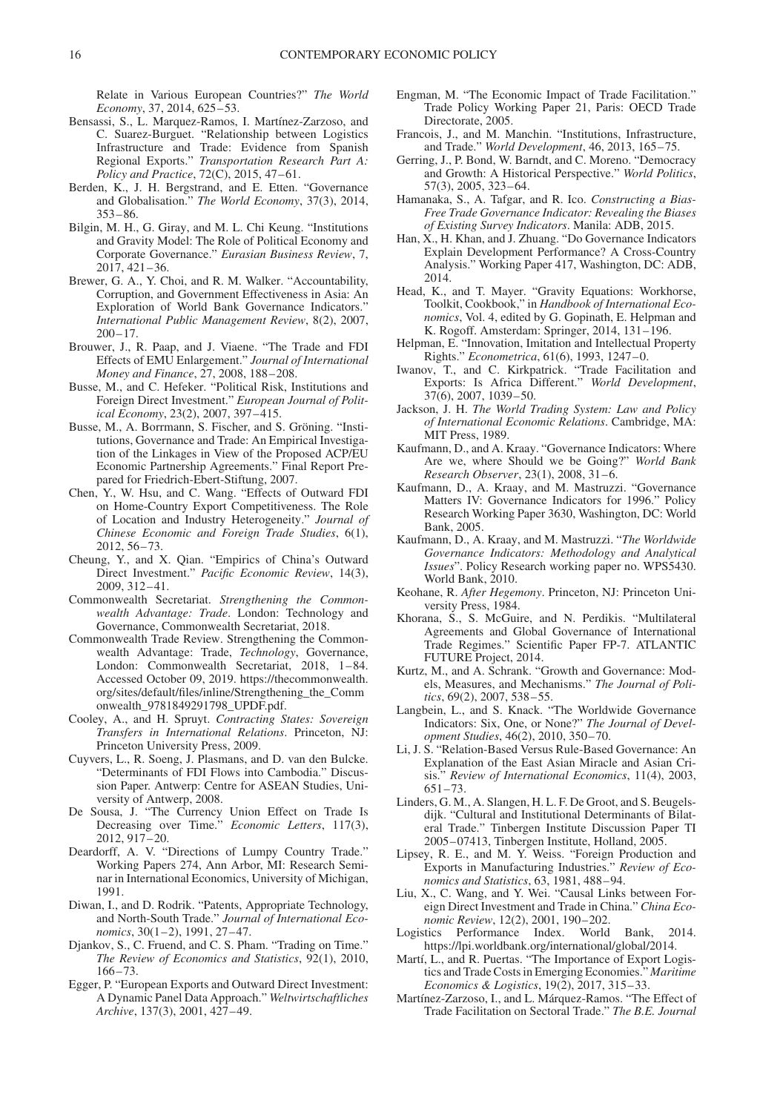Relate in Various European Countries?" *The World Economy*, 37, 2014, 625–53.

- Bensassi, S., L. Marquez-Ramos, I. Martínez-Zarzoso, and C. Suarez-Burguet. "Relationship between Logistics Infrastructure and Trade: Evidence from Spanish Regional Exports." *Transportation Research Part A: Policy and Practice*, 72(C), 2015, 47–61.
- Berden, K., J. H. Bergstrand, and E. Etten. "Governance and Globalisation." *The World Economy*, 37(3), 2014, 353–86.
- Bilgin, M. H., G. Giray, and M. L. Chi Keung. "Institutions and Gravity Model: The Role of Political Economy and Corporate Governance." *Eurasian Business Review*, 7, 2017, 421–36.
- Brewer, G. A., Y. Choi, and R. M. Walker. "Accountability, Corruption, and Government Effectiveness in Asia: An Exploration of World Bank Governance Indicators." *International Public Management Review*, 8(2), 2007, 200–17.
- Brouwer, J., R. Paap, and J. Viaene. "The Trade and FDI Effects of EMU Enlargement." *Journal of International Money and Finance*, 27, 2008, 188–208.
- Busse, M., and C. Hefeker. "Political Risk, Institutions and Foreign Direct Investment." *European Journal of Political Economy*, 23(2), 2007, 397–415.
- Busse, M., A. Borrmann, S. Fischer, and S. Gröning. "Institutions, Governance and Trade: An Empirical Investigation of the Linkages in View of the Proposed ACP/EU Economic Partnership Agreements." Final Report Prepared for Friedrich-Ebert-Stiftung, 2007.
- Chen, Y., W. Hsu, and C. Wang. "Effects of Outward FDI on Home-Country Export Competitiveness. The Role of Location and Industry Heterogeneity." *Journal of Chinese Economic and Foreign Trade Studies*, 6(1), 2012, 56–73.
- Cheung, Y., and X. Qian. "Empirics of China's Outward Direct Investment." *Pacific Economic Review*, 14(3), 2009, 312–41.
- Commonwealth Secretariat. *Strengthening the Commonwealth Advantage: Trade*. London: Technology and Governance, Commonwealth Secretariat, 2018.
- Commonwealth Trade Review. Strengthening the Commonwealth Advantage: Trade, *Technology*, Governance, London: Commonwealth Secretariat, 2018, 1–84. Accessed October 09, 2019. https://thecommonwealth. org/sites/default/files/inline/Strengthening\_the\_Comm onwealth\_9781849291798\_UPDF.pdf.
- Cooley, A., and H. Spruyt. *Contracting States: Sovereign Transfers in International Relations*. Princeton, NJ: Princeton University Press, 2009.
- Cuyvers, L., R. Soeng, J. Plasmans, and D. van den Bulcke. "Determinants of FDI Flows into Cambodia." Discussion Paper. Antwerp: Centre for ASEAN Studies, University of Antwerp, 2008.
- De Sousa, J. "The Currency Union Effect on Trade Is Decreasing over Time." *Economic Letters*, 117(3), 2012, 917–20.
- Deardorff, A. V. "Directions of Lumpy Country Trade." Working Papers 274, Ann Arbor, MI: Research Seminar in International Economics, University of Michigan, 1991.
- Diwan, I., and D. Rodrik. "Patents, Appropriate Technology, and North-South Trade." *Journal of International Economics*, 30(1–2), 1991, 27–47.
- Djankov, S., C. Fruend, and C. S. Pham. "Trading on Time." *The Review of Economics and Statistics*, 92(1), 2010, 166–73.
- Egger, P. "European Exports and Outward Direct Investment: A Dynamic Panel Data Approach." *Weltwirtschaftliches Archive*, 137(3), 2001, 427–49.
- Engman, M. "The Economic Impact of Trade Facilitation." Trade Policy Working Paper 21, Paris: OECD Trade Directorate, 2005.
- Francois, J., and M. Manchin. "Institutions, Infrastructure, and Trade." *World Development*, 46, 2013, 165–75.
- Gerring, J., P. Bond, W. Barndt, and C. Moreno. "Democracy and Growth: A Historical Perspective." *World Politics*, 57(3), 2005, 323–64.
- Hamanaka, S., A. Tafgar, and R. Ico. *Constructing a Bias-Free Trade Governance Indicator: Revealing the Biases of Existing Survey Indicators*. Manila: ADB, 2015.
- Han, X., H. Khan, and J. Zhuang. "Do Governance Indicators Explain Development Performance? A Cross-Country Analysis." Working Paper 417, Washington, DC: ADB, 2014.
- Head, K., and T. Mayer. "Gravity Equations: Workhorse, Toolkit, Cookbook," in *Handbook of International Economics*, Vol. 4, edited by G. Gopinath, E. Helpman and K. Rogoff. Amsterdam: Springer, 2014, 131–196.
- Helpman, E. "Innovation, Imitation and Intellectual Property Rights." *Econometrica*, 61(6), 1993, 1247–0.
- Iwanov, T., and C. Kirkpatrick. "Trade Facilitation and Exports: Is Africa Different." *World Development*, 37(6), 2007, 1039–50.
- Jackson, J. H. *The World Trading System: Law and Policy of International Economic Relations*. Cambridge, MA: MIT Press, 1989.
- Kaufmann, D., and A. Kraay. "Governance Indicators: Where Are we, where Should we be Going?" *World Bank Research Observer*, 23(1), 2008, 31–6.
- Kaufmann, D., A. Kraay, and M. Mastruzzi. "Governance Matters IV: Governance Indicators for 1996." Policy Research Working Paper 3630, Washington, DC: World Bank, 2005.
- Kaufmann, D., A. Kraay, and M. Mastruzzi. "*The Worldwide Governance Indicators: Methodology and Analytical Issues*". Policy Research working paper no. WPS5430. World Bank, 2010.
- Keohane, R. *After Hegemony*. Princeton, NJ: Princeton University Press, 1984.
- Khorana, S., S. McGuire, and N. Perdikis. "Multilateral Agreements and Global Governance of International Trade Regimes." Scientific Paper FP-7. ATLANTIC FUTURE Project, 2014.
- Kurtz, M., and A. Schrank. "Growth and Governance: Models, Measures, and Mechanisms." *The Journal of Politics*, 69(2), 2007, 538–55.
- Langbein, L., and S. Knack. "The Worldwide Governance Indicators: Six, One, or None?" *The Journal of Development Studies*, 46(2), 2010, 350–70.
- Li, J. S. "Relation-Based Versus Rule-Based Governance: An Explanation of the East Asian Miracle and Asian Crisis." *Review of International Economics*, 11(4), 2003, 651–73.
- Linders, G. M., A. Slangen, H. L. F. De Groot, and S. Beugelsdijk. "Cultural and Institutional Determinants of Bilateral Trade." Tinbergen Institute Discussion Paper TI 2005–07413, Tinbergen Institute, Holland, 2005.
- Lipsey, R. E., and M. Y. Weiss. "Foreign Production and Exports in Manufacturing Industries." *Review of Economics and Statistics*, 63, 1981, 488–94.
- Liu, X., C. Wang, and Y. Wei. "Causal Links between Foreign Direct Investment and Trade in China." *China Economic Review*, 12(2), 2001, 190–202.
- Logistics Performance Index. World Bank, 2014. https://lpi.worldbank.org/international/global/2014.
- Martí, L., and R. Puertas. "The Importance of Export Logistics and Trade Costs in Emerging Economies." *Maritime Economics & Logistics*, 19(2), 2017, 315–33.
- Martínez-Zarzoso, I., and L. Márquez-Ramos. "The Effect of Trade Facilitation on Sectoral Trade." *The B.E. Journal*